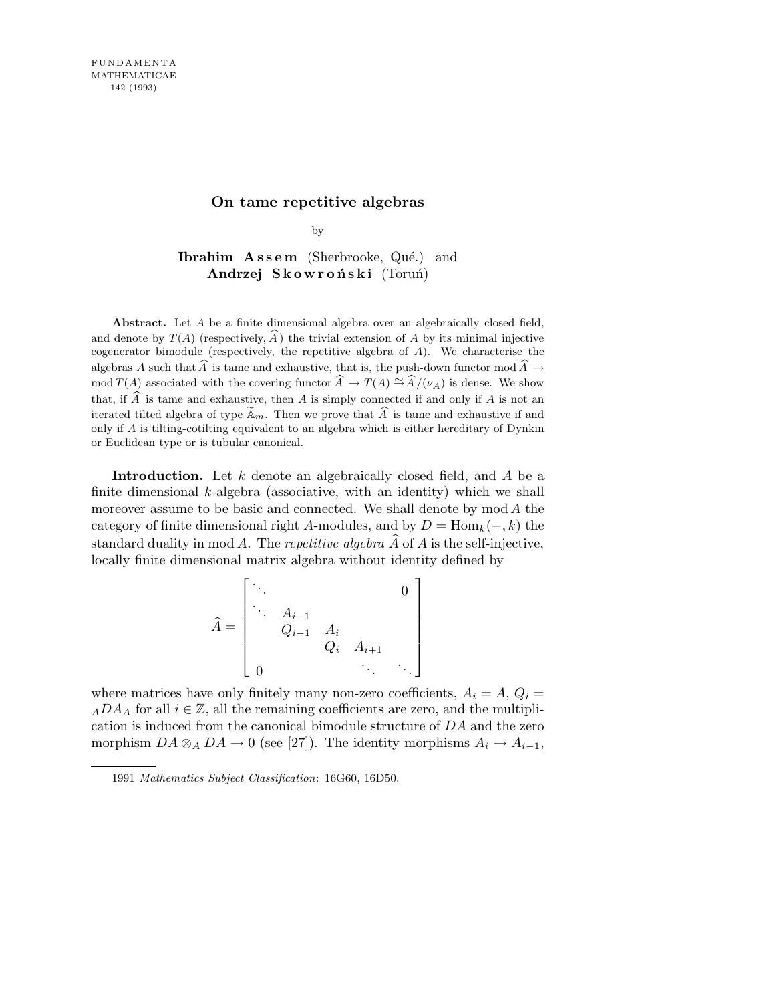# **On tame repetitive algebras**

by

Ibrahim  $\mathbf{A}$ ssem (Sherbrooke, Qué.) and Andrzej Skowroński (Toruń)

**Abstract.** Let *A* be a finite dimensional algebra over an algebraically closed field, and denote by  $T(A)$  (respectively, A) the trivial extension of A by its minimal injective cogenerator bimodule (respectively, the repetitive algebra of *A*). We characterise the algebras *A* such that  $\widehat{A}$  is tame and exhaustive, that is, the push-down functor mod  $\widehat{A} \rightarrow$ mod *T*(*A*) associated with the covering functor  $\widehat{A} \to T(A) \stackrel{\sim}{\to} \widehat{A}/(\nu_A)$  is dense. We show that, if  $\widehat{A}$  is tame and exhaustive, then *A* is simply connected if and only if *A* is not an iterated tilted algebra of type  $\mathbb{\tilde{A}}_m$ . Then we prove that  $\widehat{A}$  is tame and exhaustive if and only if *A* is tilting-cotilting equivalent to an algebra which is either hereditary of Dynkin or Euclidean type or is tubular canonical.

Introduction. Let  $k$  denote an algebraically closed field, and  $A$  be a finite dimensional  $k$ -algebra (associative, with an identity) which we shall moreover assume to be basic and connected. We shall denote by  $\text{mod } A$  the category of finite dimensional right A-modules, and by  $D = \text{Hom}_k(-, k)$  the standard duality in mod A. The repetitive algebra  $\widehat{A}$  of A is the self-injective, locally finite dimensional matrix algebra without identity defined by

$$
\widehat{A} = \begin{bmatrix} \ddots & & & & & 0 \\ & \ddots & A_{i-1} & & & & \\ & Q_{i-1} & A_i & & & \\ & & Q_i & A_{i+1} & & \\ 0 & & & \ddots & & \ddots \end{bmatrix}
$$

where matrices have only finitely many non-zero coefficients,  $A_i = A$ ,  $Q_i =$  $_ADA_A$  for all  $i \in \mathbb{Z}$ , all the remaining coefficients are zero, and the multiplication is induced from the canonical bimodule structure of DA and the zero morphism  $DA \otimes_A DA \to 0$  (see [27]). The identity morphisms  $A_i \to A_{i-1}$ ,

<sup>1991</sup> *Mathematics Subject Classification*: 16G60, 16D50.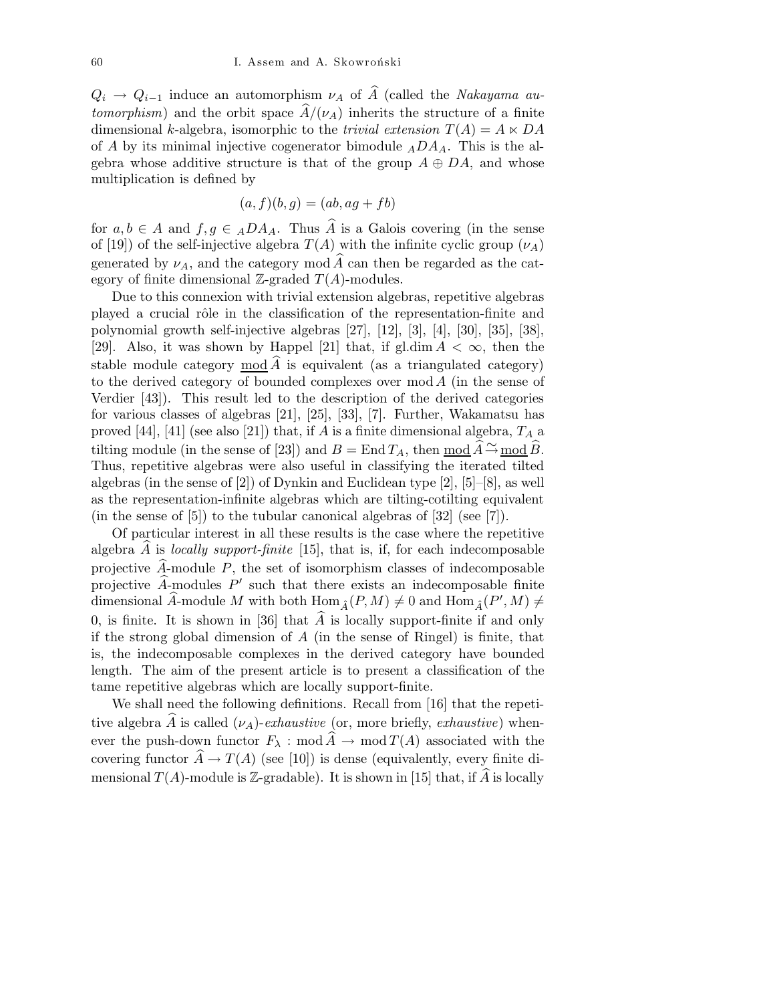$Q_i \rightarrow Q_{i-1}$  induce an automorphism  $\nu_A$  of  $\widehat{A}$  (called the Nakayama au*tomorphism*) and the orbit space  $\hat{A}/(\nu_A)$  inherits the structure of a finite dimensional k-algebra, isomorphic to the *trivial extension*  $T(A) = A \times DA$ of A by its minimal injective cogenerator bimodule  $<sub>A</sub>DA<sub>A</sub>$ . This is the al-</sub> gebra whose additive structure is that of the group  $A \oplus DA$ , and whose multiplication is defined by

$$
(a, f)(b, g) = (ab, ag + fb)
$$

for  $a, b \in A$  and  $f, g \in ADA_A$ . Thus  $\widehat{A}$  is a Galois covering (in the sense of [19]) of the self-injective algebra  $T(A)$  with the infinite cyclic group  $(\nu_A)$ generated by  $\nu_A$ , and the category mod  $\widehat{A}$  can then be regarded as the category of finite dimensional  $\mathbb{Z}$ -graded  $T(A)$ -modules.

Due to this connexion with trivial extension algebras, repetitive algebras played a crucial rôle in the classification of the representation-finite and polynomial growth self-injective algebras [27], [12], [3], [4], [30], [35], [38], [29]. Also, it was shown by Happel [21] that, if gl.dim  $A < \infty$ , then the stable module category mod  $\widehat{A}$  is equivalent (as a triangulated category) to the derived category of bounded complexes over mod A (in the sense of Verdier [43]). This result led to the description of the derived categories for various classes of algebras [21], [25], [33], [7]. Further, Wakamatsu has proved [44], [41] (see also [21]) that, if A is a finite dimensional algebra,  $T_A$  a tilting module (in the sense of [23]) and  $B = \text{End } T_A$ , then  $\text{mod } \widehat{A} \stackrel{\sim}{\rightarrow} \text{mod } \widehat{B}$ . Thus, repetitive algebras were also useful in classifying the iterated tilted algebras (in the sense of [2]) of Dynkin and Euclidean type  $[2]$ ,  $[5]-[8]$ , as well as the representation-infinite algebras which are tilting-cotilting equivalent (in the sense of [5]) to the tubular canonical algebras of [32] (see [7]).

Of particular interest in all these results is the case where the repetitive algebra  $A$  is *locally support-finite* [15], that is, if, for each indecomposable projective  $\widehat{A}$ -module  $P$ , the set of isomorphism classes of indecomposable projective  $\widehat{A}_{\widehat{A}}$  modules  $P'$  such that there exists an indecomposable finite dimensional  $\widehat{A}$ -module M with both  $\text{Hom}_{\widehat{A}}(P,M) \neq 0$  and  $\text{Hom}_{\widehat{A}}(P',M) \neq 0$ 0, is finite. It is shown in [36] that  $\widehat{A}$  is locally support-finite if and only if the strong global dimension of  $A$  (in the sense of Ringel) is finite, that is, the indecomposable complexes in the derived category have bounded length. The aim of the present article is to present a classification of the tame repetitive algebras which are locally support-finite.

We shall need the following definitions. Recall from [16] that the repetitive algebra A is called  $(\nu_A)$ -exhaustive (or, more briefly, exhaustive) whenever the push-down functor  $F_{\lambda}$  : mod  $\widehat{A} \to \text{mod } T(A)$  associated with the covering functor  $\hat{A} \to T(A)$  (see [10]) is dense (equivalently, every finite dimensional  $T(A)$ -module is Z-gradable). It is shown in [15] that, if  $\widehat{A}$  is locally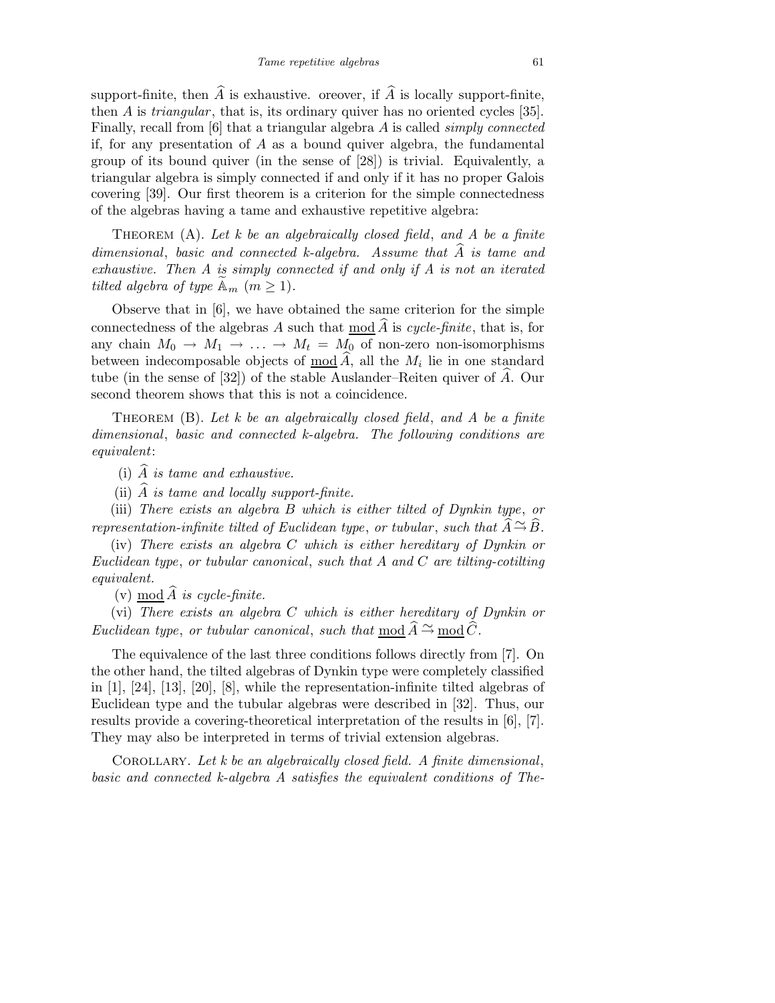support-finite, then  $\widehat{A}$  is exhaustive. oreover, if  $\widehat{A}$  is locally support-finite, then A is triangular, that is, its ordinary quiver has no oriented cycles [35]. Finally, recall from [6] that a triangular algebra A is called simply connected if, for any presentation of  $A$  as a bound quiver algebra, the fundamental group of its bound quiver (in the sense of [28]) is trivial. Equivalently, a triangular algebra is simply connected if and only if it has no proper Galois covering [39]. Our first theorem is a criterion for the simple connectedness of the algebras having a tame and exhaustive repetitive algebra:

THEOREM  $(A)$ . Let k be an algebraically closed field, and A be a finite dimensional, basic and connected k-algebra. Assume that  $\widehat{A}$  is tame and exhaustive. Then A is simply connected if and only if A is not an iterated tilted algebra of type  $\mathbb{A}_m$   $(m \geq 1)$ .

Observe that in [6], we have obtained the same criterion for the simple connectedness of the algebras A such that mod  $\widehat{A}$  is cycle-finite, that is, for any chain  $M_0 \to M_1 \to \ldots \to M_t = M_0$  of non-zero non-isomorphisms between indecomposable objects of  $\underline{\text{mod}} A$ , all the  $M_i$  lie in one standard tube (in the sense of [32]) of the stable Auslander–Reiten quiver of  $\hat{A}$ . Our second theorem shows that this is not a coincidence.

THEOREM  $(B)$ . Let k be an algebraically closed field, and A be a finite dimensional, basic and connected k-algebra. The following conditions are equivalent:

(i)  $\widehat{A}$  is tame and exhaustive.

(ii)  $\widehat{A}$  is tame and locally support-finite.

(iii) There exists an algebra B which is either tilted of Dynkin type, or representation-infinite tilted of Euclidean type, or tubular, such that  $\widehat{A} \stackrel{\sim}{\rightarrow} \widehat{B}$ .

(iv) There exists an algebra C which is either hereditary of Dynkin or Euclidean type, or tubular canonical, such that A and C are tilting-cotilting equivalent.

(v) mod  $\widehat{A}$  is cycle-finite.

(vi) There exists an algebra C which is either hereditary of Dynkin or Euclidean type, or tubular canonical, such that mod  $\widehat{A} \stackrel{\sim}{\sim} \text{mod } \widehat{C}$ .

The equivalence of the last three conditions follows directly from [7]. On the other hand, the tilted algebras of Dynkin type were completely classified in [1], [24], [13], [20], [8], while the representation-infinite tilted algebras of Euclidean type and the tubular algebras were described in [32]. Thus, our results provide a covering-theoretical interpretation of the results in [6], [7]. They may also be interpreted in terms of trivial extension algebras.

COROLLARY. Let  $k$  be an algebraically closed field. A finite dimensional, basic and connected k-algebra A satisfies the equivalent conditions of The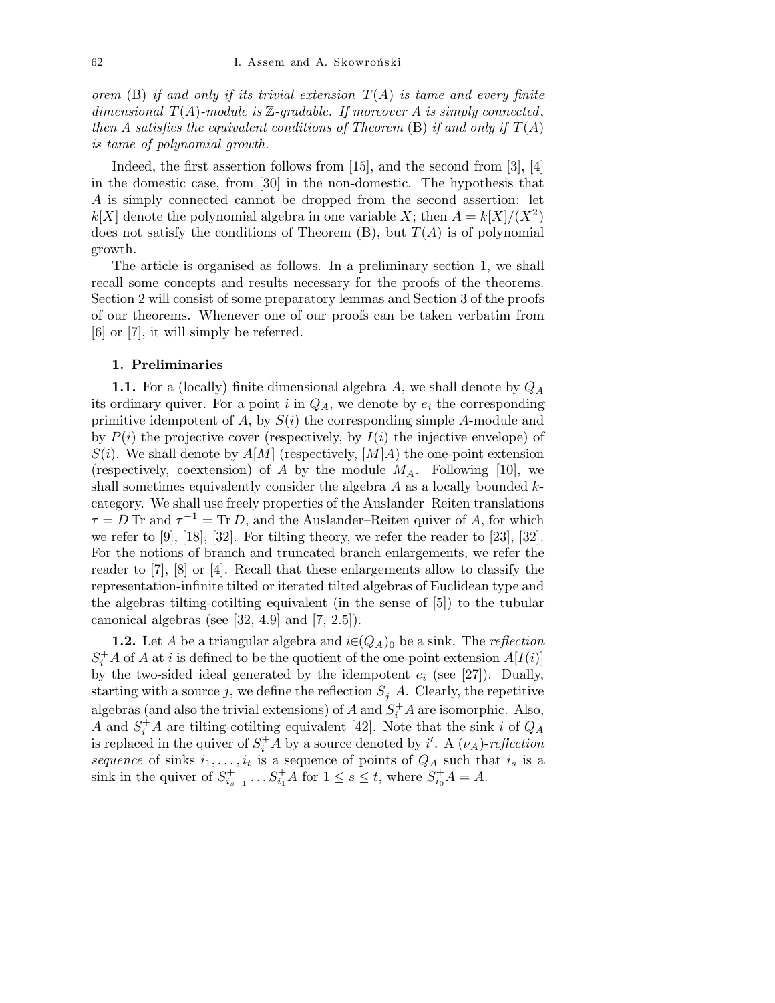orem (B) if and only if its trivial extension  $T(A)$  is tame and every finite dimensional  $T(A)$ -module is  $\mathbb{Z}$ -gradable. If moreover A is simply connected, then A satisfies the equivalent conditions of Theorem  $(B)$  if and only if  $T(A)$ is tame of polynomial growth.

Indeed, the first assertion follows from [15], and the second from [3], [4] in the domestic case, from [30] in the non-domestic. The hypothesis that A is simply connected cannot be dropped from the second assertion: let  $k[X]$  denote the polynomial algebra in one variable X; then  $A = k[X]/(X^2)$ does not satisfy the conditions of Theorem  $(B)$ , but  $T(A)$  is of polynomial growth.

The article is organised as follows. In a preliminary section 1, we shall recall some concepts and results necessary for the proofs of the theorems. Section 2 will consist of some preparatory lemmas and Section 3 of the proofs of our theorems. Whenever one of our proofs can be taken verbatim from [6] or [7], it will simply be referred.

### 1. Preliminaries

**1.1.** For a (locally) finite dimensional algebra A, we shall denote by  $Q_A$ its ordinary quiver. For a point i in  $Q_A$ , we denote by  $e_i$  the corresponding primitive idempotent of A, by  $S(i)$  the corresponding simple A-module and by  $P(i)$  the projective cover (respectively, by  $I(i)$  the injective envelope) of  $S(i)$ . We shall denote by  $A[M]$  (respectively,  $[M]A$ ) the one-point extension (respectively, coextension) of A by the module  $M_A$ . Following [10], we shall sometimes equivalently consider the algebra  $A$  as a locally bounded  $k$ category. We shall use freely properties of the Auslander–Reiten translations  $\tau = D$  Tr and  $\tau^{-1} = \text{Tr } D$ , and the Auslander–Reiten quiver of A, for which we refer to  $[9]$ ,  $[18]$ ,  $[32]$ . For tilting theory, we refer the reader to  $[23]$ ,  $[32]$ . For the notions of branch and truncated branch enlargements, we refer the reader to [7], [8] or [4]. Recall that these enlargements allow to classify the representation-infinite tilted or iterated tilted algebras of Euclidean type and the algebras tilting-cotilting equivalent (in the sense of [5]) to the tubular canonical algebras (see  $[32, 4.9]$  and  $[7, 2.5]$ ).

**1.2.** Let A be a triangular algebra and  $i \in (Q_A)_0$  be a sink. The *reflection*  $S_i^+ A$  of A at i is defined to be the quotient of the one-point extension  $A[I(i)]$ by the two-sided ideal generated by the idempotent  $e_i$  (see [27]). Dually, starting with a source j, we define the reflection  $S_j^-A$ . Clearly, the repetitive algebras (and also the trivial extensions) of  $A$  and  $S_i^+A$  are isomorphic. Also, A and  $S_i^{\dagger}$  A are tilting-cotilting equivalent [42]. Note that the sink i of  $Q_A$ is replaced in the quiver of  $S_i^+ A$  by a source denoted by i'. A  $(\nu_A)$ -reflection sequence of sinks  $i_1, \ldots, i_t$  is a sequence of points of  $Q_A$  such that  $i_s$  is a sink in the quiver of  $S_{i_0}^+$  $i_{s-1}^+$  ...  $S_{i_1}^+$  A for  $1 \le s \le t$ , where  $S_{i_0}^+$  A = A.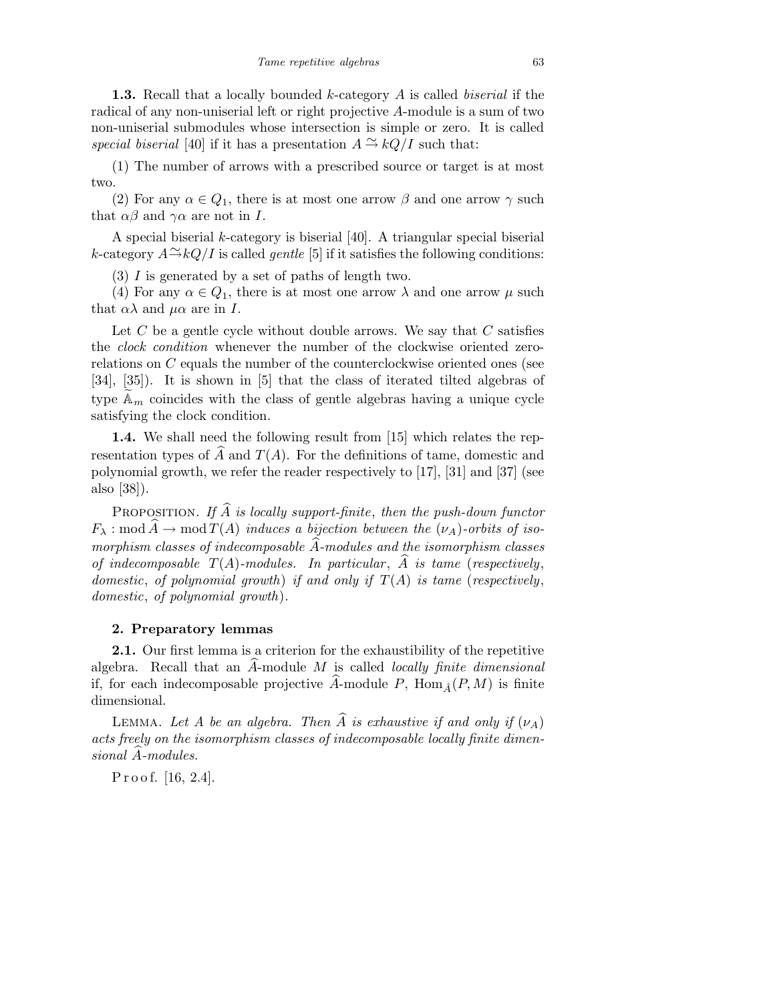1.3. Recall that a locally bounded k-category A is called *biserial* if the radical of any non-uniserial left or right projective A-module is a sum of two non-uniserial submodules whose intersection is simple or zero. It is called special biserial [40] if it has a presentation  $A \stackrel{\sim}{\rightarrow} kQ/I$  such that:

(1) The number of arrows with a prescribed source or target is at most two.

(2) For any  $\alpha \in Q_1$ , there is at most one arrow  $\beta$  and one arrow  $\gamma$  such that  $\alpha\beta$  and  $\gamma\alpha$  are not in I.

A special biserial k-category is biserial [40]. A triangular special biserial k-category  $A \rightarrow kQ/I$  is called *gentle* [5] if it satisfies the following conditions:

(3) I is generated by a set of paths of length two.

(4) For any  $\alpha \in Q_1$ , there is at most one arrow  $\lambda$  and one arrow  $\mu$  such that  $\alpha\lambda$  and  $\mu\alpha$  are in I.

Let  $C$  be a gentle cycle without double arrows. We say that  $C$  satisfies the clock condition whenever the number of the clockwise oriented zerorelations on C equals the number of the counterclockwise oriented ones (see [34], [35]). It is shown in [5] that the class of iterated tilted algebras of type  $\mathbb{A}_m$  coincides with the class of gentle algebras having a unique cycle satisfying the clock condition.

1.4. We shall need the following result from [15] which relates the representation types of A and  $T(A)$ . For the definitions of tame, domestic and polynomial growth, we refer the reader respectively to [17], [31] and [37] (see also [38]).

PROPOSITION. If  $\widehat{A}$  is locally support-finite, then the push-down functor  $F_{\lambda} : \text{mod } \widehat{A} \to \text{mod } T(A)$  induces a bijection between the  $(\nu_A)$ -orbits of isomorphism classes of indecomposable  $\widehat{A}$ -modules and the isomorphism classes of indecomposable  $T(A)$ -modules. In particular,  $\hat{A}$  is tame (respectively, domestic, of polynomial growth) if and only if  $T(A)$  is tame (respectively, domestic, of polynomial growth).

## 2. Preparatory lemmas

2.1. Our first lemma is a criterion for the exhaustibility of the repetitive algebra. Recall that an  $A$ -module  $M$  is called *locally finite dimensional* if, for each indecomposable projective  $\widehat{A}$ -module P, Hom  $_{\widehat{A}}(P, M)$  is finite dimensional.

LEMMA. Let A be an algebra. Then  $\widehat{A}$  is exhaustive if and only if  $(\nu_A)$ acts freely on the isomorphism classes of indecomposable locally finite dimen $sional$   $A$ -modules.

Proof. [16, 2.4].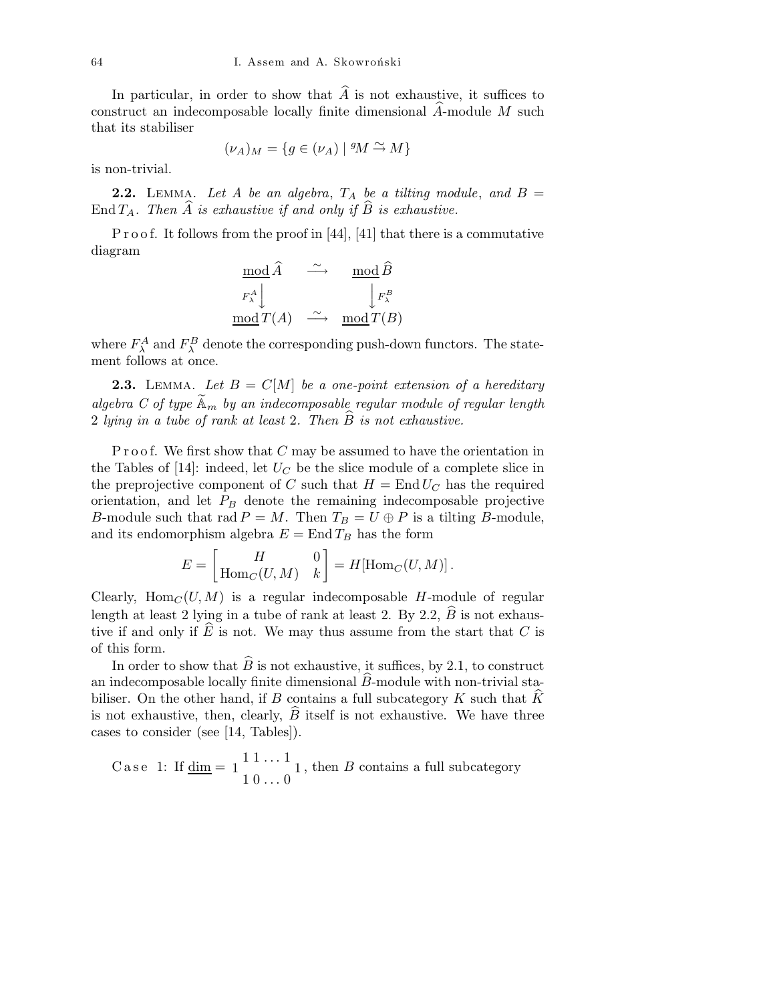In particular, in order to show that  $\hat{A}$  is not exhaustive, it suffices to construct an indecomposable locally finite dimensional  $\hat{A}$ -module  $M$  such that its stabiliser

$$
(\nu_A)_M = \{ g \in (\nu_A) \mid {}^g \! M \stackrel{\sim}{\rightarrow} M \}
$$

is non-trivial.

**2.2.** LEMMA. Let A be an algebra,  $T_A$  be a tilting module, and  $B =$ End  $T_A$ . Then A is exhaustive if and only if B is exhaustive.

P r o o f. It follows from the proof in  $[44]$ ,  $[41]$  that there is a commutative diagram

$$
\begin{array}{ccc}\n \operatorname{mod} \widehat{A} & \xrightarrow{\sim} & \operatorname{mod} \widehat{B} \\
F_{\lambda}^{A} \downarrow & & \downarrow F_{\lambda}^{B} \\
\operatorname{mod} T(A) & \xrightarrow{\sim} & \operatorname{mod} T(B)\n \end{array}
$$

where  $F_{\lambda}^{A}$  and  $F_{\lambda}^{B}$  denote the corresponding push-down functors. The statement follows at once.

**2.3.** LEMMA. Let  $B = C[M]$  be a one-point extension of a hereditary algebra C of type  $\mathbb{A}_m$  by an indecomposable regular module of regular length 2 lying in a tube of rank at least 2. Then  $\tilde{B}$  is not exhaustive.

Proof. We first show that  $C$  may be assumed to have the orientation in the Tables of  $[14]$ : indeed, let  $U_C$  be the slice module of a complete slice in the preprojective component of C such that  $H = \text{End } U_C$  has the required orientation, and let  $P_B$  denote the remaining indecomposable projective B-module such that rad  $P = M$ . Then  $T_B = U \oplus P$  is a tilting B-module, and its endomorphism algebra  $E = \text{End } T_B$  has the form

$$
E = \begin{bmatrix} H & 0 \\ \operatorname{Hom}_C(U,M) & k \end{bmatrix} = H[\operatorname{Hom}_C(U,M)] \, .
$$

Clearly,  $\text{Hom}_C(U, M)$  is a regular indecomposable H-module of regular length at least 2 lying in a tube of rank at least 2. By 2.2,  $\widehat{B}$  is not exhaustive if and only if  $\hat{E}$  is not. We may thus assume from the start that C is of this form.

In order to show that  $\widehat{B}$  is not exhaustive, it suffices, by 2.1, to construct an indecomposable locally finite dimensional  $\widehat{B}$ -module with non-trivial stabiliser. On the other hand, if B contains a full subcategory  $K$  such that  $K$ is not exhaustive, then, clearly,  $B$  itself is not exhaustive. We have three cases to consider (see [14, Tables]).

Case 1: If 
$$
\underline{\text{dim}} = 1 \begin{bmatrix} 1 & 1 & \cdots & 1 \\ 1 & 0 & \cdots & 0 \end{bmatrix}
$$
, then *B* contains a full subcategory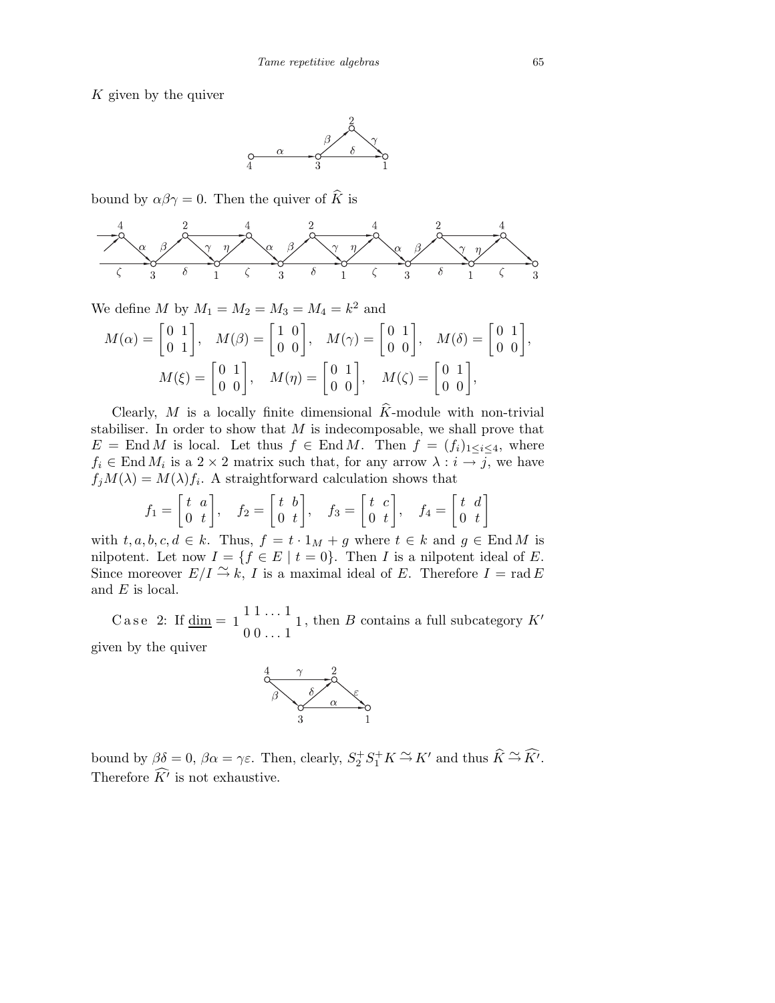K given by the quiver



bound by  $\alpha\beta\gamma = 0$ . Then the quiver of  $\widehat{K}$  is



We define M by  $M_1 = M_2 = M_3 = M_4 = k^2$  and

$$
M(\alpha) = \begin{bmatrix} 0 & 1 \\ 0 & 1 \end{bmatrix}, \quad M(\beta) = \begin{bmatrix} 1 & 0 \\ 0 & 0 \end{bmatrix}, \quad M(\gamma) = \begin{bmatrix} 0 & 1 \\ 0 & 0 \end{bmatrix}, \quad M(\delta) = \begin{bmatrix} 0 & 1 \\ 0 & 0 \end{bmatrix},
$$

$$
M(\xi) = \begin{bmatrix} 0 & 1 \\ 0 & 0 \end{bmatrix}, \quad M(\eta) = \begin{bmatrix} 0 & 1 \\ 0 & 0 \end{bmatrix}, \quad M(\zeta) = \begin{bmatrix} 0 & 1 \\ 0 & 0 \end{bmatrix},
$$

Clearly, M is a locally finite dimensional  $\hat{K}$ -module with non-trivial stabiliser. In order to show that  $M$  is indecomposable, we shall prove that  $E = \text{End } M$  is local. Let thus  $f \in \text{End } M$ . Then  $f = (f_i)_{1 \leq i \leq 4}$ , where  $f_i \in \text{End } M_i$  is a  $2 \times 2$  matrix such that, for any arrow  $\lambda : i \to j$ , we have  $f_jM(\lambda) = M(\lambda)f_i$ . A straightforward calculation shows that

$$
f_1 = \begin{bmatrix} t & a \\ 0 & t \end{bmatrix}, \quad f_2 = \begin{bmatrix} t & b \\ 0 & t \end{bmatrix}, \quad f_3 = \begin{bmatrix} t & c \\ 0 & t \end{bmatrix}, \quad f_4 = \begin{bmatrix} t & d \\ 0 & t \end{bmatrix}
$$

with  $t, a, b, c, d \in k$ . Thus,  $f = t \cdot 1_M + g$  where  $t \in k$  and  $g \in \text{End } M$  is nilpotent. Let now  $I = \{f \in E \mid t = 0\}$ . Then I is a nilpotent ideal of E. Since moreover  $E/I \to K$ , I is a maximal ideal of E. Therefore  $I = \text{rad } E$ and  $E$  is local.

Case 2: If  $\underline{\dim} = 1$   $1 \dots 1$  $1 \nightharpoonup 1$  $00 \ldots 1$ , then  $B$  contains a full subcategory  $K'$ given by the quiver



bound by  $\beta \delta = 0$ ,  $\beta \alpha = \gamma \varepsilon$ . Then, clearly,  $S_2^+ S_1^+ K \stackrel{\sim}{\rightarrow} K'$  and thus  $\widehat{K} \stackrel{\sim}{\rightarrow} \widehat{K'}$ . Therefore  $K'$  is not exhaustive.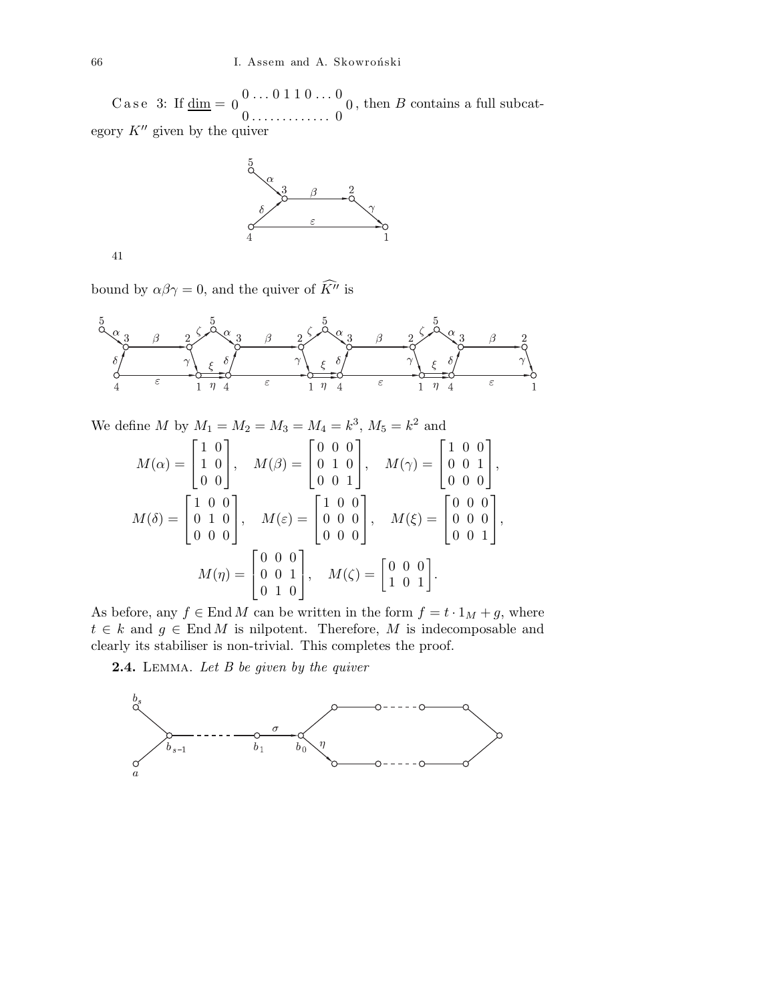$\rm{Case\;\;3:\;If}\,\rm{\underline{dim}}=0\,\rm{ \ \ }0\ldots 0\,1\,1\,0\ldots 0}$  $0$  0 0 . . . . . . . . . . . . . 0 , then B contains a full subcategory  $K^{\prime\prime}$  given by the quiver



41

bound by  $\alpha\beta\gamma=0$ , and the quiver of  $\widehat{K^{\prime\prime}}$  is



We define M by  $M_1 = M_2 = M_3 = M_4 = k^3$ ,  $M_5 = k^2$  and

$$
M(\alpha) = \begin{bmatrix} 1 & 0 \\ 1 & 0 \\ 0 & 0 \end{bmatrix}, \quad M(\beta) = \begin{bmatrix} 0 & 0 & 0 \\ 0 & 1 & 0 \\ 0 & 0 & 1 \end{bmatrix}, \quad M(\gamma) = \begin{bmatrix} 1 & 0 & 0 \\ 0 & 0 & 1 \\ 0 & 0 & 0 \end{bmatrix},
$$

$$
M(\delta) = \begin{bmatrix} 1 & 0 & 0 \\ 0 & 1 & 0 \\ 0 & 0 & 0 \end{bmatrix}, \quad M(\varepsilon) = \begin{bmatrix} 1 & 0 & 0 \\ 0 & 0 & 0 \\ 0 & 0 & 0 \end{bmatrix}, \quad M(\xi) = \begin{bmatrix} 0 & 0 & 0 \\ 0 & 0 & 0 \\ 0 & 0 & 1 \end{bmatrix},
$$

$$
M(\eta) = \begin{bmatrix} 0 & 0 & 0 \\ 0 & 0 & 1 \\ 0 & 1 & 0 \end{bmatrix}, \quad M(\zeta) = \begin{bmatrix} 0 & 0 & 0 \\ 1 & 0 & 1 \end{bmatrix}.
$$

As before, any  $f \in \text{End } M$  can be written in the form  $f = t \cdot 1_M + g$ , where  $t \in k$  and  $g \in \text{End } M$  is nilpotent. Therefore, M is indecomposable and clearly its stabiliser is non-trivial. This completes the proof.

**2.4.** LEMMA. Let  $B$  be given by the quiver

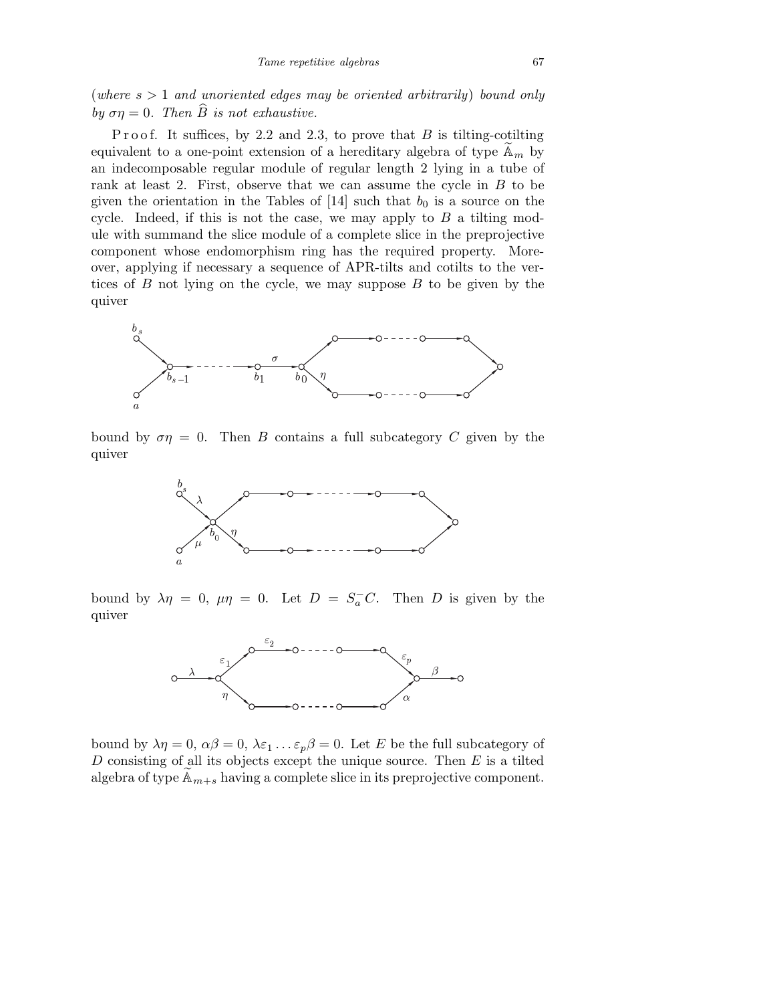(where  $s > 1$  and unoriented edges may be oriented arbitrarily) bound only by  $\sigma \eta = 0$ . Then  $\widehat{B}$  is not exhaustive.

P r o o f. It suffices, by 2.2 and 2.3, to prove that  $B$  is tilting-cotilting equivalent to a one-point extension of a hereditary algebra of type  $\mathbb{A}_m$  by an indecomposable regular module of regular length 2 lying in a tube of rank at least 2. First, observe that we can assume the cycle in  $B$  to be given the orientation in the Tables of [14] such that  $b_0$  is a source on the cycle. Indeed, if this is not the case, we may apply to  $B$  a tilting module with summand the slice module of a complete slice in the preprojective component whose endomorphism ring has the required property. Moreover, applying if necessary a sequence of APR-tilts and cotilts to the vertices of  $B$  not lying on the cycle, we may suppose  $B$  to be given by the quiver



bound by  $\sigma\eta = 0$ . Then B contains a full subcategory C given by the quiver



bound by  $\lambda \eta = 0$ ,  $\mu \eta = 0$ . Let  $D = S_a^- C$ . Then D is given by the quiver



bound by  $\lambda \eta = 0$ ,  $\alpha \beta = 0$ ,  $\lambda \varepsilon_1 \ldots \varepsilon_p \beta = 0$ . Let E be the full subcategory of  $D$  consisting of all its objects except the unique source. Then  $E$  is a tilted algebra of type  $\mathbb{A}_{m+s}$  having a complete slice in its preprojective component.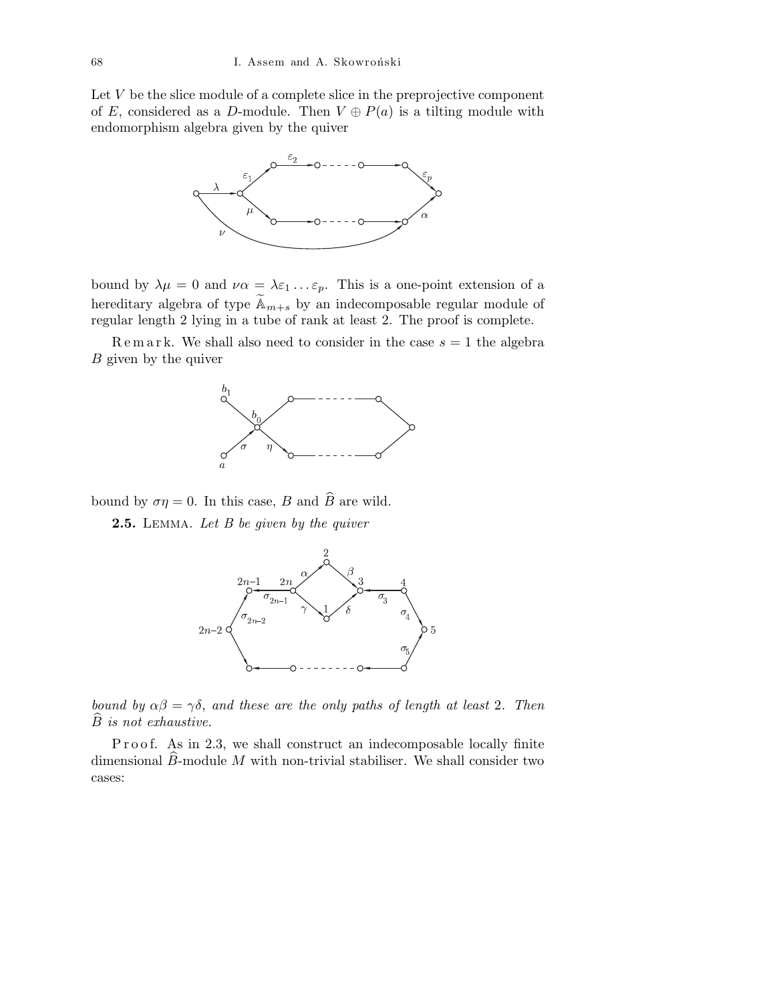Let  $V$  be the slice module of a complete slice in the preprojective component of E, considered as a D-module. Then  $V \oplus P(a)$  is a tilting module with endomorphism algebra given by the quiver



bound by  $\lambda \mu = 0$  and  $\nu \alpha = \lambda \varepsilon_1 \ldots \varepsilon_p$ . This is a one-point extension of a hereditary algebra of type  $\widetilde{A}_{m+s}$  by an indecomposable regular module of regular length 2 lying in a tube of rank at least 2. The proof is complete.

Remark. We shall also need to consider in the case  $s = 1$  the algebra B given by the quiver



bound by  $\sigma \eta = 0$ . In this case, B and  $\widehat{B}$  are wild.

2.5. LEMMA. Let B be given by the quiver



bound by  $\alpha\beta = \gamma\delta$ , and these are the only paths of length at least 2. Then  $B$  is not exhaustive.

P r o o f. As in 2.3, we shall construct an indecomposable locally finite dimensional  $\widehat{B}$ -module M with non-trivial stabiliser. We shall consider two cases: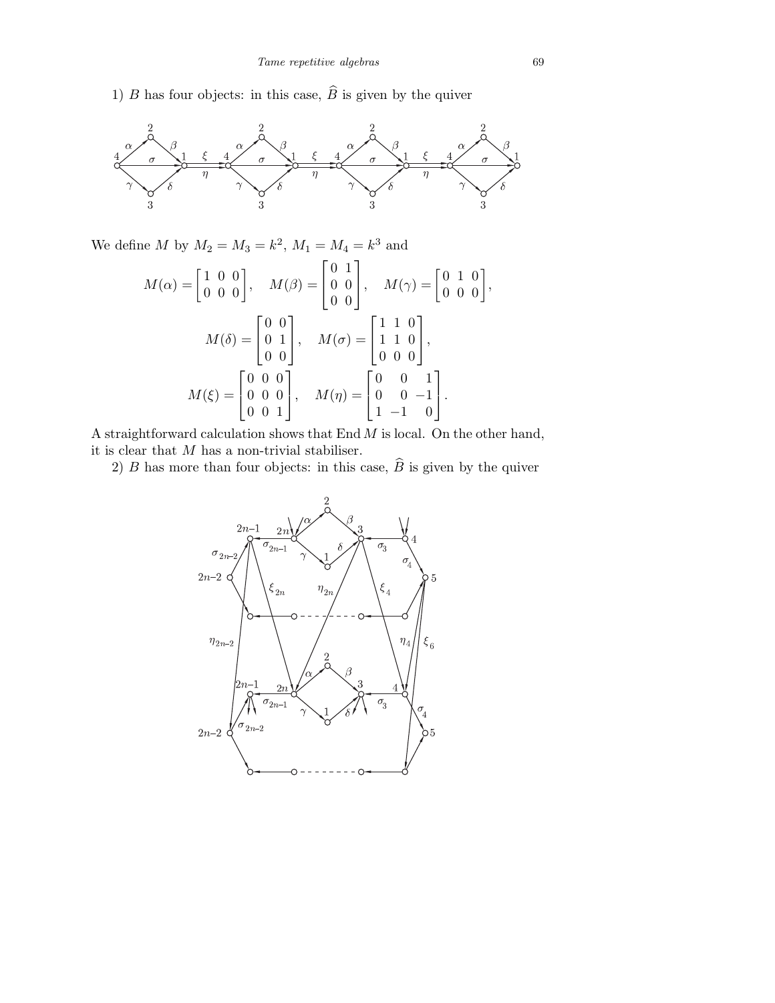1) B has four objects: in this case,  $\widehat{B}$  is given by the quiver



We define M by  $M_2 = M_3 = k^2$ ,  $M_1 = M_4 = k^3$  and

$$
M(\alpha) = \begin{bmatrix} 1 & 0 & 0 \\ 0 & 0 & 0 \end{bmatrix}, \quad M(\beta) = \begin{bmatrix} 0 & 1 \\ 0 & 0 \\ 0 & 0 \end{bmatrix}, \quad M(\gamma) = \begin{bmatrix} 0 & 1 & 0 \\ 0 & 0 & 0 \end{bmatrix},
$$

$$
M(\delta) = \begin{bmatrix} 0 & 0 \\ 0 & 1 \\ 0 & 0 \end{bmatrix}, \quad M(\sigma) = \begin{bmatrix} 1 & 1 & 0 \\ 1 & 1 & 0 \\ 0 & 0 & 0 \end{bmatrix},
$$

$$
M(\xi) = \begin{bmatrix} 0 & 0 & 0 \\ 0 & 0 & 0 \\ 0 & 0 & 1 \end{bmatrix}, \quad M(\eta) = \begin{bmatrix} 0 & 0 & 1 \\ 0 & 0 & -1 \\ 1 & -1 & 0 \end{bmatrix}.
$$

A straightforward calculation shows that  $End M$  is local. On the other hand, it is clear that  $M$  has a non-trivial stabiliser.

2) B has more than four objects: in this case,  $\widehat{B}$  is given by the quiver

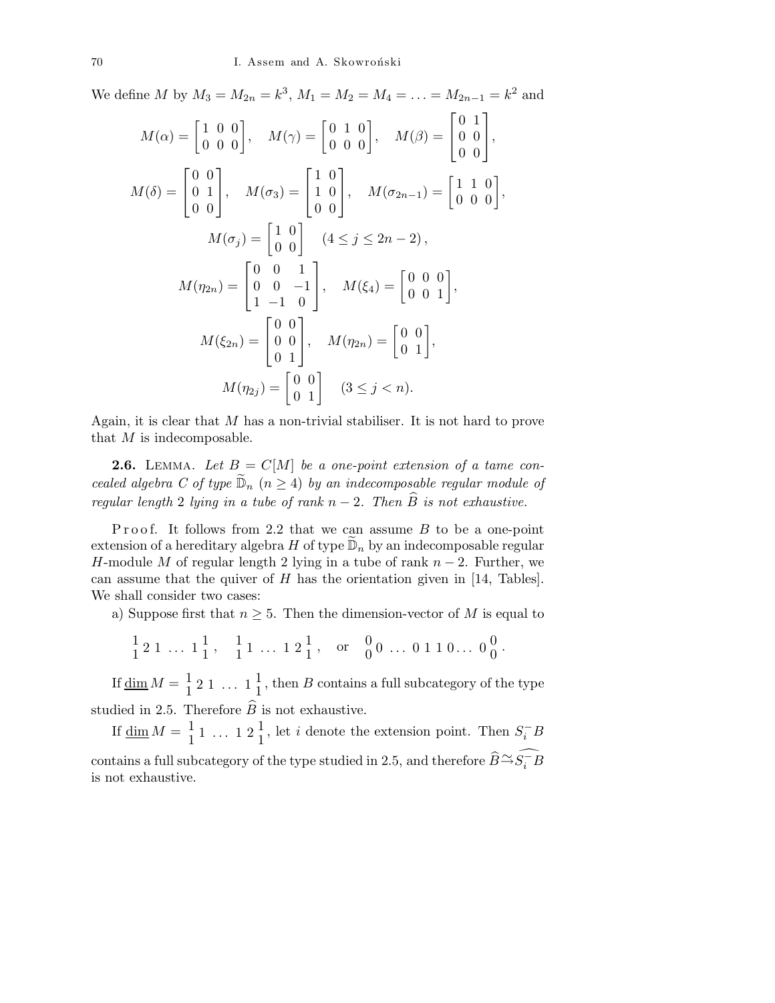We define M by  $M_3 = M_{2n} = k^3$ ,  $M_1 = M_2 = M_4 = \ldots = M_{2n-1} = k^2$  and

$$
M(\alpha) = \begin{bmatrix} 1 & 0 & 0 \\ 0 & 0 & 0 \end{bmatrix}, \quad M(\gamma) = \begin{bmatrix} 0 & 1 & 0 \\ 0 & 0 & 0 \end{bmatrix}, \quad M(\beta) = \begin{bmatrix} 0 & 1 \\ 0 & 0 \\ 0 & 0 \end{bmatrix},
$$
  
\n
$$
M(\delta) = \begin{bmatrix} 0 & 0 \\ 0 & 1 \\ 0 & 0 \end{bmatrix}, \quad M(\sigma_3) = \begin{bmatrix} 1 & 0 \\ 1 & 0 \\ 0 & 0 \end{bmatrix}, \quad M(\sigma_{2n-1}) = \begin{bmatrix} 1 & 1 & 0 \\ 0 & 0 & 0 \end{bmatrix},
$$
  
\n
$$
M(\sigma_j) = \begin{bmatrix} 1 & 0 \\ 0 & 0 \end{bmatrix} \quad (4 \le j \le 2n - 2),
$$
  
\n
$$
M(\eta_{2n}) = \begin{bmatrix} 0 & 0 & 1 \\ 0 & 0 & -1 \\ 1 & -1 & 0 \end{bmatrix}, \quad M(\xi_4) = \begin{bmatrix} 0 & 0 & 0 \\ 0 & 0 & 1 \\ 0 & 1 \end{bmatrix},
$$
  
\n
$$
M(\xi_{2n}) = \begin{bmatrix} 0 & 0 \\ 0 & 0 \\ 0 & 1 \end{bmatrix}, \quad M(\eta_{2n}) = \begin{bmatrix} 0 & 0 \\ 0 & 1 \\ 0 & 1 \end{bmatrix},
$$
  
\n
$$
M(\eta_{2j}) = \begin{bmatrix} 0 & 0 \\ 0 & 1 \end{bmatrix} \quad (3 \le j < n).
$$

Again, it is clear that  $M$  has a non-trivial stabiliser. It is not hard to prove that  $M$  is indecomposable.

**2.6.** LEMMA. Let  $B = C[M]$  be a one-point extension of a tame concealed algebra C of type  $\widetilde{\mathbb{D}}_n$   $(n \geq 4)$  by an indecomposable regular module of regular length 2 lying in a tube of rank  $n-2$ . Then  $\widehat{B}$  is not exhaustive.

Proof. It follows from 2.2 that we can assume  $B$  to be a one-point extension of a hereditary algebra  $H$  of type  $\widetilde{\mathbb{D}}_n$  by an indecomposable regular H-module M of regular length 2 lying in a tube of rank  $n-2$ . Further, we can assume that the quiver of  $H$  has the orientation given in [14, Tables]. We shall consider two cases:

a) Suppose first that  $n \geq 5$ . Then the dimension-vector of M is equal to

$$
\frac{1}{1} 2 1 \ldots 1 \frac{1}{1}, \frac{1}{1} 1 \ldots 1 2 \frac{1}{1}, \text{ or } \frac{0}{0} 0 \ldots 0 1 1 0 \ldots 0 \frac{0}{0}.
$$

If  $\underline{\dim} M = \frac{1}{1} 2 1 \ldots 1 \frac{1}{1}$ , then B contains a full subcategory of the type studied in 2.5. Therefore  $\hat{B}$  is not exhaustive.

If  $\underline{\dim} M = \frac{1}{1} 1 \dots 1 2 \frac{1}{1}$ , let *i* denote the extension point. Then  $S_i^- B$ contains a full subcategory of the type studied in 2.5, and therefore  $\widehat{B} \cong \widehat{S_i^{-}B}$ is not exhaustive.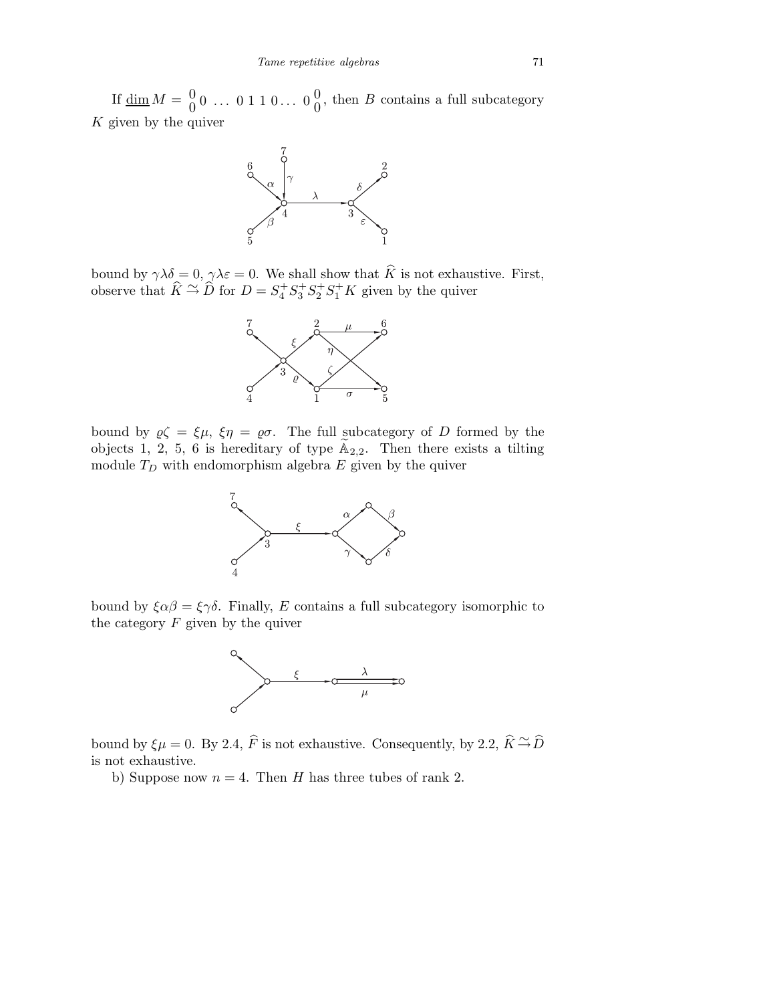If  $\underline{\dim} M = \begin{bmatrix} 0 & 0 & \dots & 0 & 1 & 1 & 0 & \dots & 0 \end{bmatrix}$ , then B contains a full subcategory K given by the quiver



bound by  $\gamma \lambda \delta = 0$ ,  $\gamma \lambda \varepsilon = 0$ . We shall show that K is not exhaustive. First, observe that  $\hat{K} \stackrel{\sim}{\rightarrow} \hat{D}$  for  $D = S_4^+ S_3^+ S_2^+ S_1^+ K$  given by the quiver



bound by  $\varrho \zeta = \xi \mu$ ,  $\xi \eta = \varrho \sigma$ . The full subcategory of D formed by the objects 1, 2, 5, 6 is hereditary of type  $\widetilde{A}_{2,2}$ . Then there exists a tilting module  $T_D$  with endomorphism algebra E given by the quiver



bound by  $\xi \alpha \beta = \xi \gamma \delta$ . Finally, E contains a full subcategory isomorphic to the category  $F$  given by the quiver



bound by  $\xi\mu = 0$ . By 2.4,  $\widehat{F}$  is not exhaustive. Consequently, by 2.2,  $\widehat{K} \xrightarrow{\sim} \widehat{D}$ is not exhaustive.

b) Suppose now  $n = 4$ . Then H has three tubes of rank 2.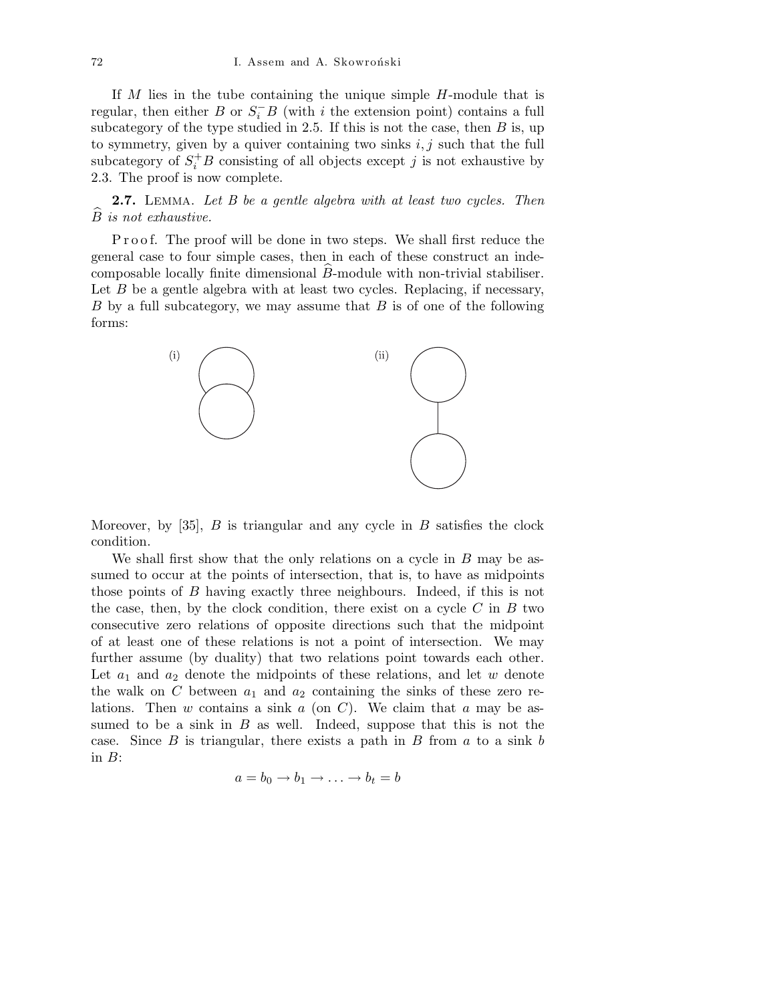If M lies in the tube containing the unique simple H-module that is regular, then either B or  $S_i^-B$  (with i the extension point) contains a full subcategory of the type studied in 2.5. If this is not the case, then  $B$  is, up to symmetry, given by a quiver containing two sinks  $i, j$  such that the full subcategory of  $S_i^+B$  consisting of all objects except j is not exhaustive by 2.3. The proof is now complete.

**2.7.** LEMMA. Let B be a gentle algebra with at least two cycles. Then  $\widehat{B}$  is not exhaustive.

P r o o f. The proof will be done in two steps. We shall first reduce the general case to four simple cases, then in each of these construct an indecomposable locally finite dimensional  $\widehat{B}$ -module with non-trivial stabiliser. Let  $B$  be a gentle algebra with at least two cycles. Replacing, if necessary,  $B$  by a full subcategory, we may assume that  $B$  is of one of the following forms:



Moreover, by  $[35]$ , B is triangular and any cycle in B satisfies the clock condition.

We shall first show that the only relations on a cycle in  $B$  may be assumed to occur at the points of intersection, that is, to have as midpoints those points of B having exactly three neighbours. Indeed, if this is not the case, then, by the clock condition, there exist on a cycle  $C$  in  $B$  two consecutive zero relations of opposite directions such that the midpoint of at least one of these relations is not a point of intersection. We may further assume (by duality) that two relations point towards each other. Let  $a_1$  and  $a_2$  denote the midpoints of these relations, and let w denote the walk on C between  $a_1$  and  $a_2$  containing the sinks of these zero relations. Then  $w$  contains a sink  $a$  (on  $C$ ). We claim that  $a$  may be assumed to be a sink in  $B$  as well. Indeed, suppose that this is not the case. Since B is triangular, there exists a path in B from  $a$  to a sink  $b$ in  $B$ :

$$
a = b_0 \to b_1 \to \ldots \to b_t = b
$$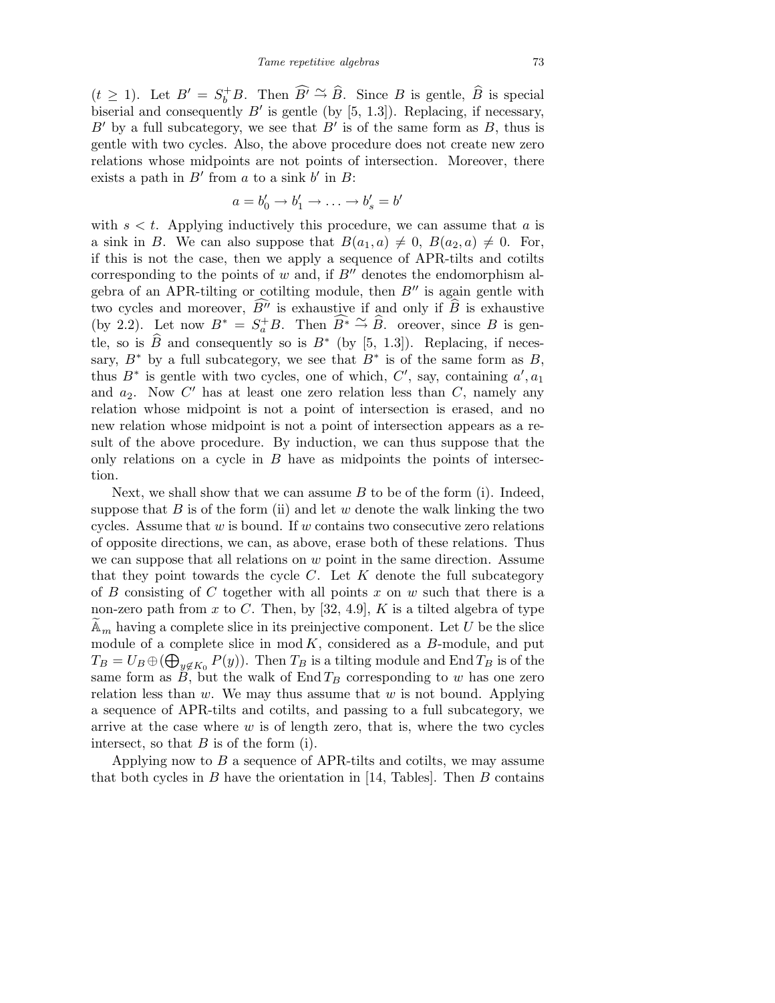$(t \geq 1)$ . Let  $B' = S_b^{\dagger} B$ . Then  $\widehat{B'} \stackrel{\sim}{\rightarrow} \widehat{B}$ . Since B is gentle,  $\widehat{B}$  is special biserial and consequently  $B'$  is gentle (by [5, 1.3]). Replacing, if necessary,  $B'$  by a full subcategory, we see that  $B'$  is of the same form as  $B$ , thus is gentle with two cycles. Also, the above procedure does not create new zero relations whose midpoints are not points of intersection. Moreover, there exists a path in  $B'$  from a to a sink  $b'$  in  $B$ :

$$
a = b'_0 \to b'_1 \to \ldots \to b'_s = b'
$$

with  $s < t$ . Applying inductively this procedure, we can assume that a is a sink in B. We can also suppose that  $B(a_1, a) \neq 0$ ,  $B(a_2, a) \neq 0$ . For, if this is not the case, then we apply a sequence of APR-tilts and cotilts corresponding to the points of  $w$  and, if  $B''$  denotes the endomorphism algebra of an APR-tilting or cotilting module, then  $B''$  is again gentle with two cycles and moreover,  $\widehat{B}^{\prime\prime}$  is exhaustive if and only if  $\widehat{B}$  is exhaustive (by 2.2). Let now  $B^* = S_a^+ B$ . Then  $\widehat{B^*} \stackrel{\sim}{\rightarrow} \widehat{B}$ . oreover, since B is gentle, so is  $\widehat{B}$  and consequently so is  $B^*$  (by [5, 1.3]). Replacing, if necessary,  $B^*$  by a full subcategory, we see that  $B^*$  is of the same form as  $B$ , thus  $B^*$  is gentle with two cycles, one of which,  $C'$ , say, containing  $a'$ ,  $a_1$ and  $a_2$ . Now C' has at least one zero relation less than C, namely any relation whose midpoint is not a point of intersection is erased, and no new relation whose midpoint is not a point of intersection appears as a result of the above procedure. By induction, we can thus suppose that the only relations on a cycle in  $B$  have as midpoints the points of intersection.

Next, we shall show that we can assume  $B$  to be of the form (i). Indeed, suppose that  $B$  is of the form (ii) and let  $w$  denote the walk linking the two cycles. Assume that  $w$  is bound. If  $w$  contains two consecutive zero relations of opposite directions, we can, as above, erase both of these relations. Thus we can suppose that all relations on  $w$  point in the same direction. Assume that they point towards the cycle  $C$ . Let  $K$  denote the full subcategory of B consisting of C together with all points x on w such that there is a non-zero path from  $x$  to  $C$ . Then, by [32, 4.9],  $K$  is a tilted algebra of type  $\mathbb{A}_m$  having a complete slice in its preinjective component. Let U be the slice module of a complete slice in  $mod K$ , considered as a B-module, and put  $T_B = U_B \oplus (\bigoplus_{y \notin K_0} P(y)).$  Then  $T_B$  is a tilting module and End  $T_B$  is of the same form as B, but the walk of  $\text{End }T_B$  corresponding to w has one zero relation less than  $w$ . We may thus assume that  $w$  is not bound. Applying a sequence of APR-tilts and cotilts, and passing to a full subcategory, we arrive at the case where  $w$  is of length zero, that is, where the two cycles intersect, so that  $B$  is of the form (i).

Applying now to  $B$  a sequence of APR-tilts and cotilts, we may assume that both cycles in  $B$  have the orientation in [14, Tables]. Then  $B$  contains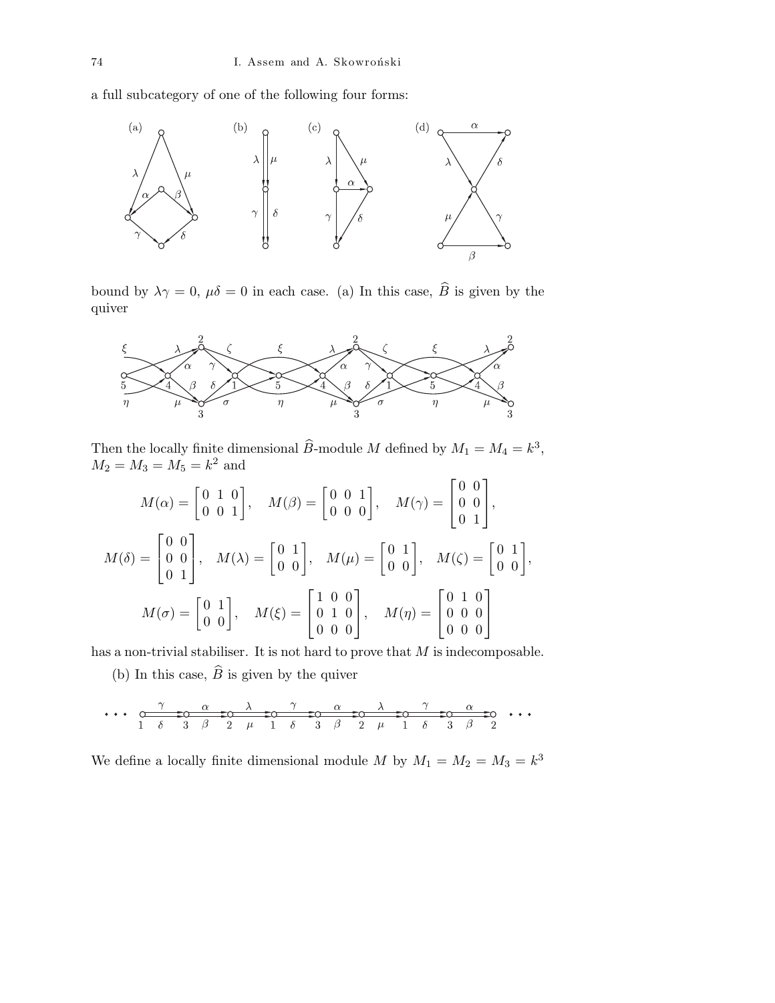a full subcategory of one of the following four forms:



bound by  $\lambda \gamma = 0$ ,  $\mu \delta = 0$  in each case. (a) In this case,  $\widehat{B}$  is given by the quiver



Then the locally finite dimensional  $\widehat{B}$ -module M defined by  $M_1 = M_4 = k^3$ ,  $M_2 = M_3 = M_5 = k^2$  and

$$
M(\alpha) = \begin{bmatrix} 0 & 1 & 0 \\ 0 & 0 & 1 \end{bmatrix}, \quad M(\beta) = \begin{bmatrix} 0 & 0 & 1 \\ 0 & 0 & 0 \end{bmatrix}, \quad M(\gamma) = \begin{bmatrix} 0 & 0 \\ 0 & 0 \\ 0 & 1 \end{bmatrix},
$$

$$
M(\delta) = \begin{bmatrix} 0 & 0 \\ 0 & 0 \\ 0 & 1 \end{bmatrix}, \quad M(\lambda) = \begin{bmatrix} 0 & 1 \\ 0 & 0 \end{bmatrix}, \quad M(\mu) = \begin{bmatrix} 0 & 1 \\ 0 & 0 \end{bmatrix}, \quad M(\zeta) = \begin{bmatrix} 0 & 1 \\ 0 & 0 \end{bmatrix},
$$

$$
M(\sigma) = \begin{bmatrix} 0 & 1 \\ 0 & 0 \end{bmatrix}, \quad M(\xi) = \begin{bmatrix} 1 & 0 & 0 \\ 0 & 1 & 0 \\ 0 & 0 & 0 \end{bmatrix}, \quad M(\eta) = \begin{bmatrix} 0 & 1 & 0 \\ 0 & 0 & 0 \\ 0 & 0 & 0 \end{bmatrix}
$$

has a non-trivial stabiliser. It is not hard to prove that  $M$  is indecomposable.

(b) In this case,  $\widehat{B}$  is given by the quiver

$$
\cdots \underbrace{\overbrace{\hspace{1.5cm}0\qquad \hspace{1.2cm}}\quad \overbrace{\hspace{1.5cm}0\qquad \hspace{1.2cm}}\quad \overbrace{\hspace{1.5cm}0\qquad \hspace{1.2cm}}\quad \overbrace{\hspace{1.5cm}0\qquad \hspace{1.2cm}}\quad \overbrace{\hspace{1.5cm}0\qquad \hspace{1.2cm}}\quad \overbrace{\hspace{1.5cm}0\qquad \hspace{1.2cm}}\quad \overbrace{\hspace{1.5cm}0\qquad \hspace{1.2cm}}\quad \overbrace{\hspace{1.5cm}0\qquad \hspace{1.2cm}}\quad \overbrace{\hspace{1.5cm}0\qquad \hspace{1.2cm}}\quad \overbrace{\hspace{1.5cm}0\qquad \hspace{1.2cm}}\quad \overbrace{\hspace{1.5cm}0\qquad \hspace{1.2cm}}\quad \overbrace{\hspace{1.5cm}0\qquad \hspace{1.2cm}}\quad \overbrace{\hspace{1.5cm}0\qquad \hspace{1.2cm}}\quad \overbrace{\hspace{1.5cm}0\qquad \hspace{1.2cm}}\quad \overbrace{\hspace{1.5cm}0\qquad \hspace{1.2cm}}\quad \overbrace{\hspace{1.5cm}0\qquad \hspace{1.2cm}}\quad \overbrace{\hspace{1.5cm}0\qquad \hspace{1.2cm}}\quad \overbrace{\hspace{1.5cm}0\qquad \hspace{1.2cm}}\quad \overbrace{\hspace{1.5cm}0\qquad \hspace{1.2cm}}\quad \overbrace{\hspace{1.5cm}0\qquad \hspace{1.2cm}}\quad \overbrace{\hspace{1.5cm}0\qquad \hspace{1.2cm}}\quad \overbrace{\hspace{1.5cm}0\qquad \hspace{1.2cm}}\quad \overbrace{\hspace{1.5cm}0\qquad \hspace{1.2cm}}\quad \overbrace{\hspace{1.5cm}0\qquad \hspace{1.2cm}}\quad \overbrace{\hspace{1.5cm}0\qquad \hspace{1.2cm}}\quad \overbrace{\hspace{1.5cm}0\qquad \hspace{1.2cm}}\quad \overbrace{\hspace{1.5cm}0\qquad \hspace{1.2cm}}\quad \overbrace{\hspace{1.5cm}0\qquad \hspace{1.2cm}}
$$

We define a locally finite dimensional module M by  $M_1 = M_2 = M_3 = k^3$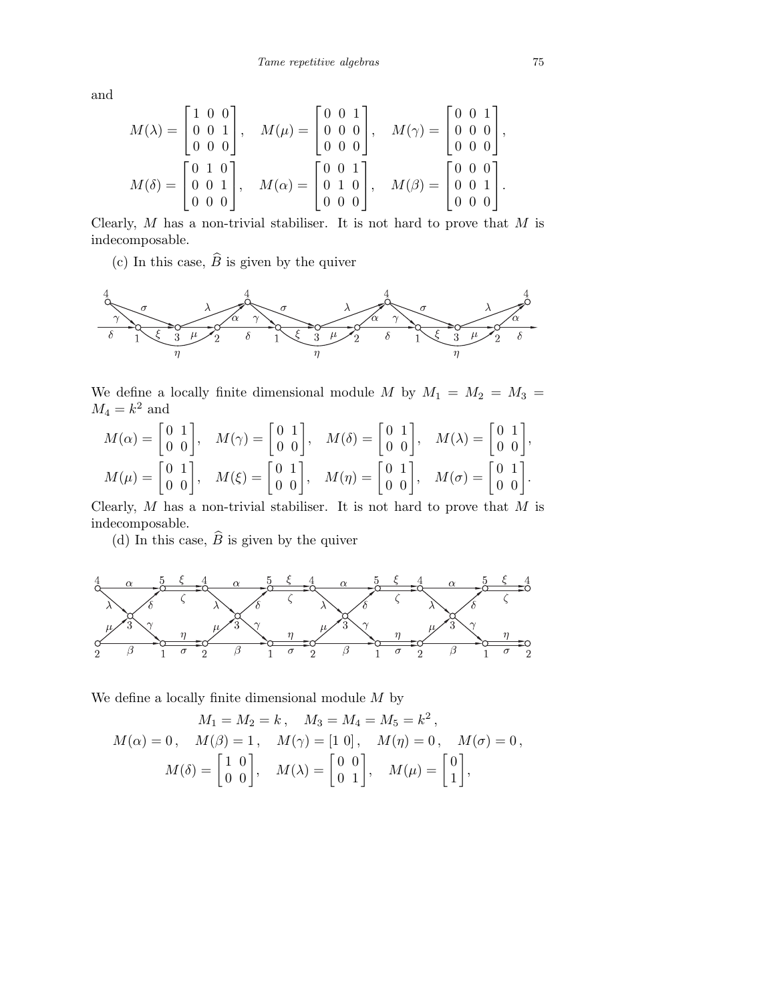and

$$
M(\lambda) = \begin{bmatrix} 1 & 0 & 0 \\ 0 & 0 & 1 \\ 0 & 0 & 0 \end{bmatrix}, \quad M(\mu) = \begin{bmatrix} 0 & 0 & 1 \\ 0 & 0 & 0 \\ 0 & 0 & 0 \end{bmatrix}, \quad M(\gamma) = \begin{bmatrix} 0 & 0 & 1 \\ 0 & 0 & 0 \\ 0 & 0 & 0 \end{bmatrix},
$$

$$
M(\delta) = \begin{bmatrix} 0 & 1 & 0 \\ 0 & 0 & 1 \\ 0 & 0 & 0 \end{bmatrix}, \quad M(\alpha) = \begin{bmatrix} 0 & 0 & 1 \\ 0 & 1 & 0 \\ 0 & 0 & 0 \end{bmatrix}, \quad M(\beta) = \begin{bmatrix} 0 & 0 & 0 \\ 0 & 0 & 1 \\ 0 & 0 & 0 \end{bmatrix}.
$$

Clearly,  $M$  has a non-trivial stabiliser. It is not hard to prove that  $M$  is indecomposable.

(c) In this case,  $\widehat{B}$  is given by the quiver



We define a locally finite dimensional module M by  $M_1 = M_2 = M_3 =$  $M_4 = k^2$  and

$$
M(\alpha) = \begin{bmatrix} 0 & 1 \\ 0 & 0 \end{bmatrix}, \quad M(\gamma) = \begin{bmatrix} 0 & 1 \\ 0 & 0 \end{bmatrix}, \quad M(\delta) = \begin{bmatrix} 0 & 1 \\ 0 & 0 \end{bmatrix}, \quad M(\lambda) = \begin{bmatrix} 0 & 1 \\ 0 & 0 \end{bmatrix},
$$

$$
M(\mu) = \begin{bmatrix} 0 & 1 \\ 0 & 0 \end{bmatrix}, \quad M(\xi) = \begin{bmatrix} 0 & 1 \\ 0 & 0 \end{bmatrix}, \quad M(\eta) = \begin{bmatrix} 0 & 1 \\ 0 & 0 \end{bmatrix}, \quad M(\sigma) = \begin{bmatrix} 0 & 1 \\ 0 & 0 \end{bmatrix}.
$$

Clearly,  $M$  has a non-trivial stabiliser. It is not hard to prove that  $M$  is indecomposable.

(d) In this case,  $\widehat{B}$  is given by the quiver



We define a locally finite dimensional module  $M$  by

$$
M_1 = M_2 = k, \quad M_3 = M_4 = M_5 = k^2,
$$
  
\n
$$
M(\alpha) = 0, \quad M(\beta) = 1, \quad M(\gamma) = [1 \ 0], \quad M(\eta) = 0, \quad M(\sigma) = 0,
$$
  
\n
$$
M(\delta) = \begin{bmatrix} 1 & 0 \\ 0 & 0 \end{bmatrix}, \quad M(\lambda) = \begin{bmatrix} 0 & 0 \\ 0 & 1 \end{bmatrix}, \quad M(\mu) = \begin{bmatrix} 0 \\ 1 \end{bmatrix},
$$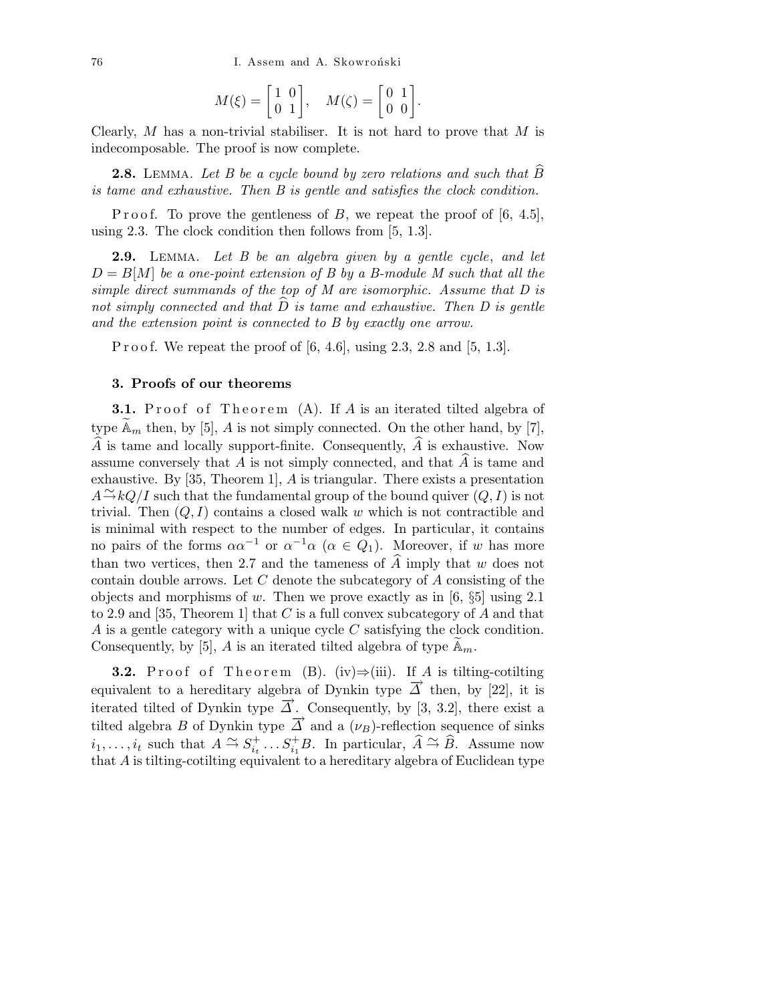76 I. Assem and A. Skowroński

$$
M(\xi)=\left[\begin{matrix} 1&0\\0&1\end{matrix}\right],\quad M(\zeta)=\left[\begin{matrix} 0&1\\0&0\end{matrix}\right].
$$

Clearly,  $M$  has a non-trivial stabiliser. It is not hard to prove that  $M$  is indecomposable. The proof is now complete.

**2.8.** LEMMA. Let B be a cycle bound by zero relations and such that  $\widehat{B}$ is tame and exhaustive. Then B is gentle and satisfies the clock condition.

P r o o f. To prove the gentleness of B, we repeat the proof of  $[6, 4.5]$ , using 2.3. The clock condition then follows from [5, 1.3].

2.9. LEMMA. Let B be an algebra given by a gentle cycle, and let  $D = B[M]$  be a one-point extension of B by a B-module M such that all the simple direct summands of the top of M are isomorphic. Assume that D is not simply connected and that  $\hat{D}$  is tame and exhaustive. Then D is gentle and the extension point is connected to B by exactly one arrow.

P r o o f. We repeat the proof of  $[6, 4.6]$ , using 2.3, 2.8 and  $[5, 1.3]$ .

# 3. Proofs of our theorems

**3.1.** Proof of Theorem  $(A)$ . If A is an iterated tilted algebra of type  $\mathbb{A}_m$  then, by [5], A is not simply connected. On the other hand, by [7],  $\widehat{A}$  is tame and locally support-finite. Consequently,  $\widehat{A}$  is exhaustive. Now assume conversely that  $A$  is not simply connected, and that  $\overline{A}$  is tame and exhaustive. By [35, Theorem 1], A is triangular. There exists a presentation  $A \to kQ/I$  such that the fundamental group of the bound quiver  $(Q, I)$  is not trivial. Then  $(Q, I)$  contains a closed walk w which is not contractible and is minimal with respect to the number of edges. In particular, it contains no pairs of the forms  $\alpha \alpha^{-1}$  or  $\alpha^{-1} \alpha$  ( $\alpha \in Q_1$ ). Moreover, if w has more than two vertices, then 2.7 and the tameness of  $\widehat{A}$  imply that w does not contain double arrows. Let  $C$  denote the subcategory of  $A$  consisting of the objects and morphisms of w. Then we prove exactly as in  $[6, \S_5]$  using 2.1 to 2.9 and [35, Theorem 1] that C is a full convex subcategory of A and that A is a gentle category with a unique cycle C satisfying the clock condition. Consequently, by [5], A is an iterated tilted algebra of type  $\mathbb{A}_m$ .

**3.2.** Proof of Theorem (B). (iv) $\Rightarrow$ (iii). If A is tilting-cotilting equivalent to a hereditary algebra of Dynkin type  $\overrightarrow{\Delta}$  then, by [22], it is iterated tilted of Dynkin type  $\overline{\Delta}$ . Consequently, by [3, 3.2], there exist a tilted algebra B of Dynkin type  $\overrightarrow{\Delta}$  and a  $(\nu_B)$ -reflection sequence of sinks  $i_1, \ldots, i_t$  such that  $A \stackrel{\sim}{\rightarrow} S_{i_t}^+$  $i_t^{\dagger} \ldots S_{i_1}^{\dagger} B$ . In particular,  $\widehat{A} \stackrel{\sim}{\rightarrow} \widehat{B}$ . Assume now that A is tilting-cotilting equivalent to a hereditary algebra of Euclidean type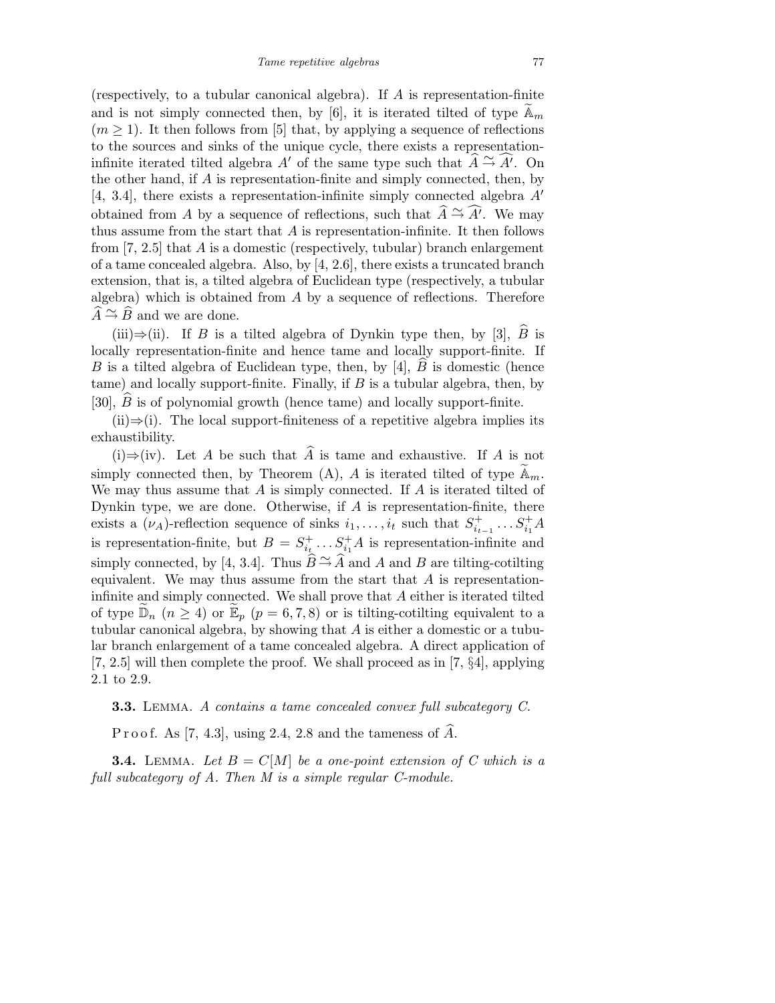(respectively, to a tubular canonical algebra). If  $A$  is representation-finite and is not simply connected then, by [6], it is iterated tilted of type  $\mathbb{A}_m$  $(m \geq 1)$ . It then follows from [5] that, by applying a sequence of reflections to the sources and sinks of the unique cycle, there exists a representationinfinite iterated tilted algebra A' of the same type such that  $\hat{A} \cong \hat{A}'$ . On the other hand, if  $A$  is representation-finite and simply connected, then, by [4, 3.4], there exists a representation-infinite simply connected algebra  $A'$ obtained from A by a sequence of reflections, such that  $\widehat{A} \cong \widehat{A'}$ . We may thus assume from the start that  $A$  is representation-infinite. It then follows from  $[7, 2.5]$  that A is a domestic (respectively, tubular) branch enlargement of a tame concealed algebra. Also, by [4, 2.6], there exists a truncated branch extension, that is, a tilted algebra of Euclidean type (respectively, a tubular algebra) which is obtained from  $A$  by a sequence of reflections. Therefore  $\widehat{A} \stackrel{\sim}{\rightarrow} \widehat{B}$  and we are done.

(iii)⇒(ii). If B is a tilted algebra of Dynkin type then, by [3],  $\widehat{B}$  is locally representation-finite and hence tame and locally support-finite. If B is a tilted algebra of Euclidean type, then, by [4],  $B$  is domestic (hence tame) and locally support-finite. Finally, if  $B$  is a tubular algebra, then, by [30],  $B$  is of polynomial growth (hence tame) and locally support-finite.

 $(ii) \Rightarrow (i)$ . The local support-finiteness of a repetitive algebra implies its exhaustibility.

(i)⇒(iv). Let A be such that  $\hat{A}$  is tame and exhaustive. If A is not simply connected then, by Theorem (A), A is iterated tilted of type  $\mathbb{A}_m$ . We may thus assume that  $A$  is simply connected. If  $A$  is iterated tilted of Dynkin type, we are done. Otherwise, if  $A$  is representation-finite, there exists a  $(\nu_A)$ -reflection sequence of sinks  $i_1, \ldots, i_t$  such that  $S_{i_t}^+$  $s_{i_{t-1}}^+ \ldots s_{i_1}^+ A$ is representation-finite, but  $B = S_{i}^{+}$  $i_t^{\dagger} \dots S_{i_1}^{\dagger}A$  is representation-infinite and simply connected, by [4, 3.4]. Thus  $\widetilde{B} \to A$  and A and B are tilting-cotilting equivalent. We may thus assume from the start that  $A$  is representationinfinite and simply connected. We shall prove that A either is iterated tilted of type  $\widetilde{\mathbb{D}}_n$   $(n \geq 4)$  or  $\widetilde{\mathbb{E}}_p$   $(p = 6, 7, 8)$  or is tilting-cotilting equivalent to a tubular canonical algebra, by showing that A is either a domestic or a tubular branch enlargement of a tame concealed algebra. A direct application of [7, 2.5] will then complete the proof. We shall proceed as in [7, §4], applying 2.1 to 2.9.

3.3. Lemma. A contains a tame concealed convex full subcategory C.

P r o o f. As [7, 4.3], using 2.4, 2.8 and the tameness of  $\widehat{A}$ .

**3.4.** LEMMA. Let  $B = C[M]$  be a one-point extension of C which is a full subcategory of A. Then M is a simple regular C-module.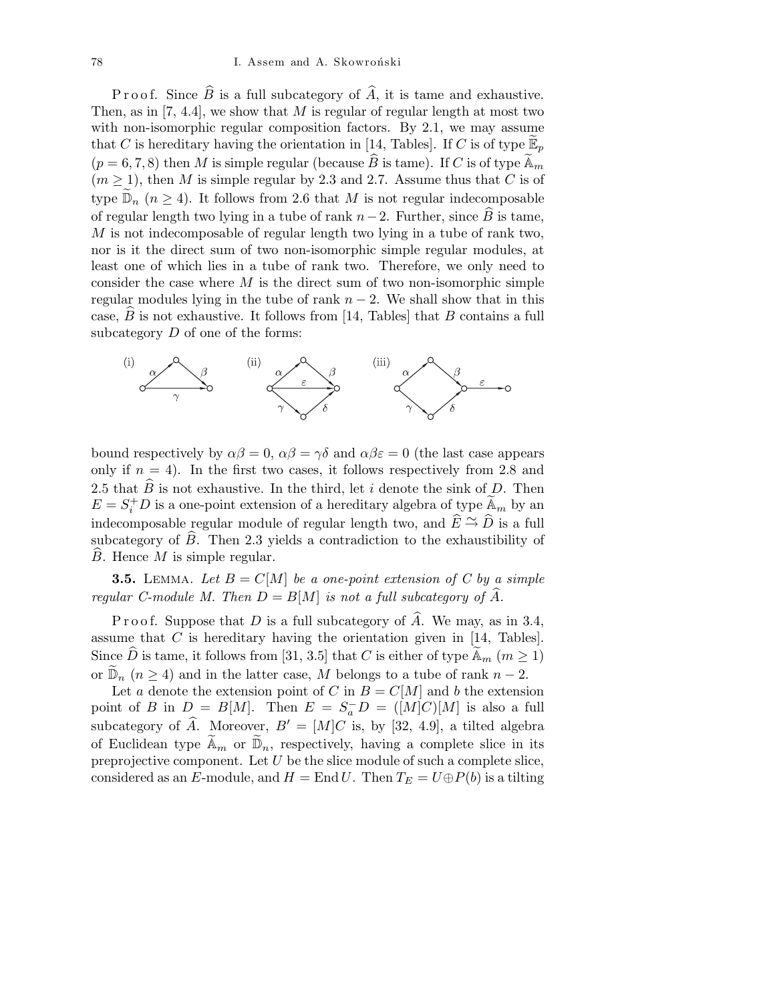P r o o f. Since  $\widehat{B}$  is a full subcategory of  $\widehat{A}$ , it is tame and exhaustive. Then, as in [7, 4.4], we show that  $M$  is regular of regular length at most two with non-isomorphic regular composition factors. By 2.1, we may assume that C is hereditary having the orientation in [14, Tables]. If C is of type  $\mathbb{E}_p$  $(p = 6, 7, 8)$  then M is simple regular (because  $\widehat{B}$  is tame). If C is of type  $\widetilde{A}_m$  $(m \ge 1)$ , then M is simple regular by 2.3 and 2.7. Assume thus that C is of type  $\mathbb{D}_n$  ( $n \geq 4$ ). It follows from 2.6 that M is not regular indecomposable of regular length two lying in a tube of rank  $n-2$ . Further, since  $\widehat{B}$  is tame, M is not indecomposable of regular length two lying in a tube of rank two, nor is it the direct sum of two non-isomorphic simple regular modules, at least one of which lies in a tube of rank two. Therefore, we only need to consider the case where  $M$  is the direct sum of two non-isomorphic simple regular modules lying in the tube of rank  $n-2$ . We shall show that in this case,  $\overline{B}$  is not exhaustive. It follows from [14, Tables] that  $\overline{B}$  contains a full subcategory  $D$  of one of the forms:



bound respectively by  $\alpha\beta = 0$ ,  $\alpha\beta = \gamma\delta$  and  $\alpha\beta\epsilon = 0$  (the last case appears only if  $n = 4$ ). In the first two cases, it follows respectively from 2.8 and 2.5 that  $\widehat{B}$  is not exhaustive. In the third, let i denote the sink of D. Then  $E = S_i^+ D$  is a one-point extension of a hereditary algebra of type  $\widetilde{A}_m$  by an indecomposable regular module of regular length two, and  $\hat{E} \cong \hat{D}$  is a full subcategory of  $\hat{B}$ . Then 2.3 yields a contradiction to the exhaustibility of  $B.$  Hence  $M$  is simple regular.

**3.5.** LEMMA. Let  $B = C[M]$  be a one-point extension of C by a simple regular C-module M. Then  $D = B[M]$  is not a full subcategory of  $\widehat{A}$ .

P r o o f. Suppose that D is a full subcategory of  $\widehat{A}$ . We may, as in 3.4, assume that  $C$  is hereditary having the orientation given in [14, Tables]. Since  $\widehat{D}$  is tame, it follows from [31, 3.5] that C is either of type  $\widetilde{A}_m$   $(m \ge 1)$ or  $\mathbb{D}_n$  ( $n \geq 4$ ) and in the latter case, M belongs to a tube of rank  $n-2$ .

Let a denote the extension point of C in  $B = C[M]$  and b the extension point of B in  $D = B[M]$ . Then  $E = S_a^- D = ([M]C)[M]$  is also a full subcategory of  $\hat{A}$ . Moreover,  $B' = [M]C$  is, by [32, 4.9], a tilted algebra of Euclidean type  $\widetilde{\mathbb{A}}_m$  or  $\widetilde{\mathbb{D}}_n$ , respectively, having a complete slice in its preprojective component. Let  $U$  be the slice module of such a complete slice, considered as an E-module, and  $H = \text{End } U$ . Then  $T_E = U \oplus P(b)$  is a tilting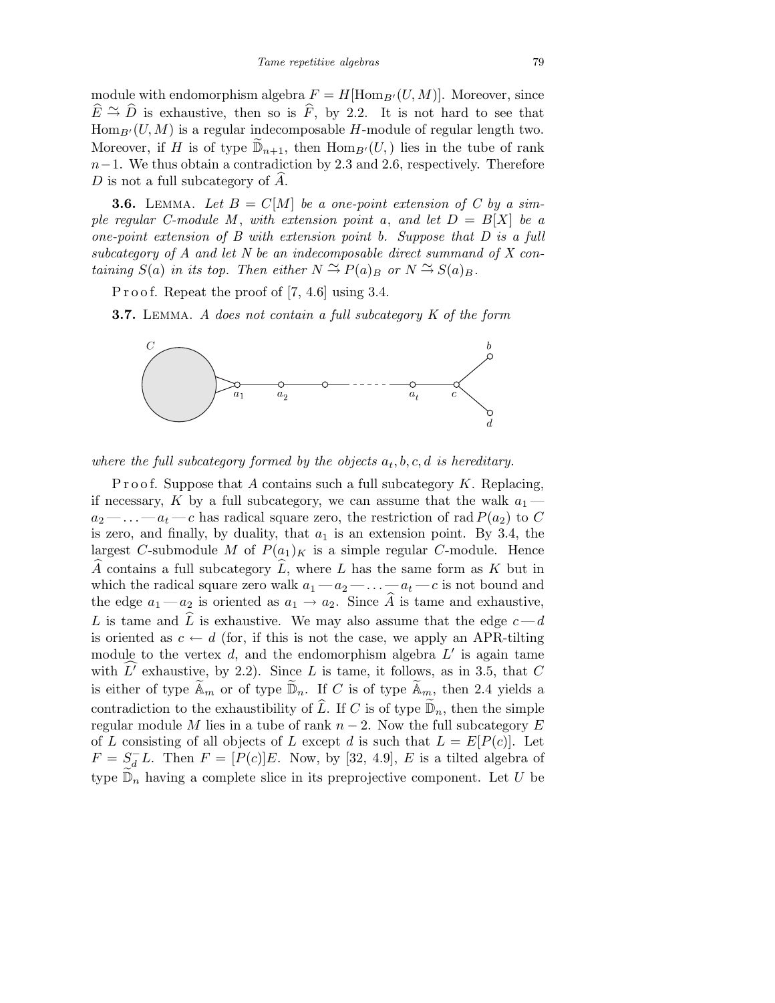module with endomorphism algebra  $F = H[\text{Hom}_{B'}(U, M)]$ . Moreover, since  $\widehat{E} \stackrel{\sim}{\rightarrow} \widehat{D}$  is exhaustive, then so is  $\widehat{F}$ , by 2.2. It is not hard to see that  $\text{Hom}_{B'}(U, M)$  is a regular indecomposable H-module of regular length two. Moreover, if H is of type  $\mathbb{D}_{n+1}$ , then  $\text{Hom}_{B'}(U)$  lies in the tube of rank  $n-1$ . We thus obtain a contradiction by 2.3 and 2.6, respectively. Therefore  $D$  is not a full subcategory of  $A$ .

**3.6.** LEMMA. Let  $B = C[M]$  be a one-point extension of C by a simple regular C-module M, with extension point a, and let  $D = B[X]$  be a one-point extension of B with extension point b. Suppose that D is a full subcategory of A and let N be an indecomposable direct summand of X containing  $S(a)$  in its top. Then either  $N \stackrel{\sim}{\rightarrow} P(a)_B$  or  $N \stackrel{\sim}{\rightarrow} S(a)_B$ .

P r o o f. Repeat the proof of  $[7, 4.6]$  using 3.4.

**3.7.** LEMMA. A does not contain a full subcategory K of the form



where the full subcategory formed by the objects  $a_t, b, c, d$  is hereditary.

P r o o f. Suppose that A contains such a full subcategory  $K$ . Replacing, if necessary, K by a full subcategory, we can assume that the walk  $a_1$  $a_2$  — ... —  $a_t$  — c has radical square zero, the restriction of rad  $P(a_2)$  to C is zero, and finally, by duality, that  $a_1$  is an extension point. By 3.4, the largest C-submodule M of  $P(a_1)<sub>K</sub>$  is a simple regular C-module. Hence  $\widehat{A}$  contains a full subcategory  $\widehat{L}$ , where L has the same form as K but in which the radical square zero walk  $a_1 - a_2 - \ldots - a_t - c$  is not bound and the edge  $a_1 - a_2$  is oriented as  $a_1 \rightarrow a_2$ . Since  $\widehat{A}$  is tame and exhaustive, L is tame and  $\tilde{L}$  is exhaustive. We may also assume that the edge  $c-d$ is oriented as  $c \leftarrow d$  (for, if this is not the case, we apply an APR-tilting module to the vertex  $d$ , and the endomorphism algebra  $L'$  is again tame with  $L'$  exhaustive, by 2.2). Since  $L$  is tame, it follows, as in 3.5, that  $C$ is either of type  $\widetilde{A}_m$  or of type  $\widetilde{\mathbb{D}}_n$ . If C is of type  $\widetilde{A}_m$ , then 2.4 yields a contradiction to the exhaustibility of  $\widehat{L}$ . If C is of type  $\widetilde{\mathbb{D}}_n$ , then the simple regular module M lies in a tube of rank  $n-2$ . Now the full subcategory E of L consisting of all objects of L except d is such that  $L = E[P(c)]$ . Let  $F = S_d^- L$ . Then  $F = [P(c)]E$ . Now, by [32, 4.9], E is a tilted algebra of type  $\widetilde{\mathbb{D}}_n$  having a complete slice in its preprojective component. Let U be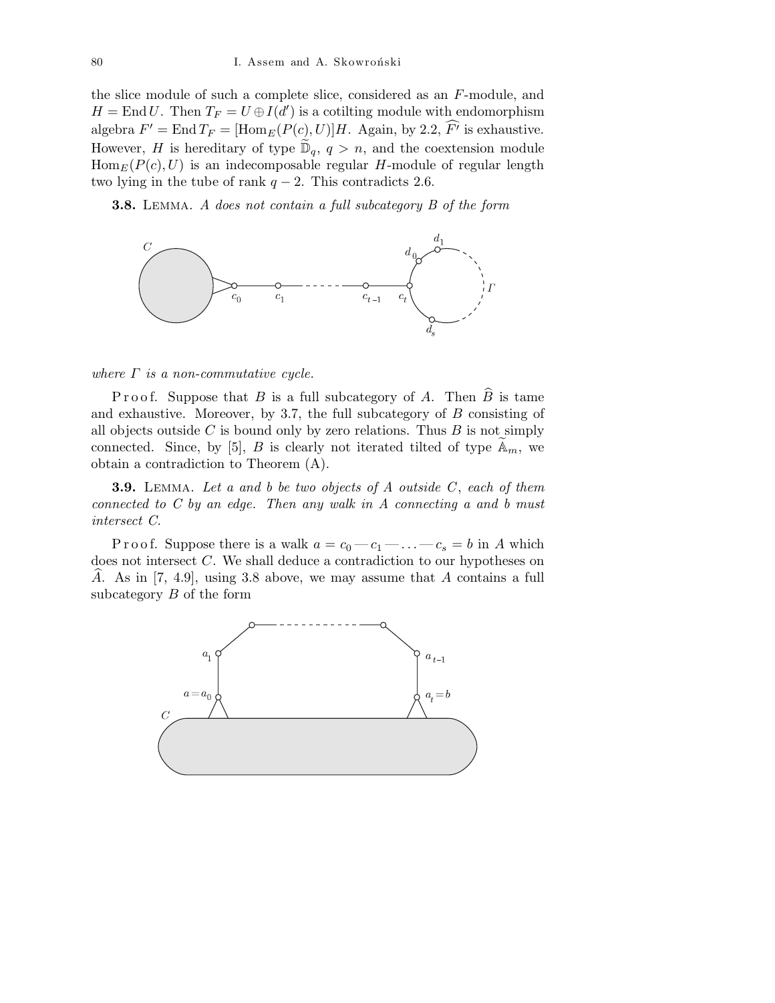the slice module of such a complete slice, considered as an F-module, and  $H = \text{End } U$ . Then  $T_F = U \oplus I(d')$  is a cotilting module with endomorphism algebra  $F' = \text{End } T_F = [\text{Hom}_E(P(c), U)]H$ . Again, by 2.2,  $\widehat{F'}$  is exhaustive. However, H is hereditary of type  $\widetilde{\mathbb{D}}_q$ ,  $q > n$ , and the coextension module  $\text{Hom}_E(P(c), U)$  is an indecomposable regular H-module of regular length two lying in the tube of rank  $q - 2$ . This contradicts 2.6.

**3.8.** LEMMA. A does not contain a full subcategory B of the form



where  $\Gamma$  is a non-commutative cycle.

P r o o f. Suppose that B is a full subcategory of A. Then  $\widehat{B}$  is tame and exhaustive. Moreover, by 3.7, the full subcategory of B consisting of all objects outside C is bound only by zero relations. Thus  $B$  is not simply connected. Since, by [5], B is clearly not iterated tilted of type  $\mathbb{A}_m$ , we obtain a contradiction to Theorem (A).

**3.9.** LEMMA. Let a and b be two objects of  $A$  outside  $C$ , each of them connected to  $C$  by an edge. Then any walk in  $A$  connecting a and b must intersect C.

P r o o f. Suppose there is a walk  $a = c_0 - c_1 - \ldots - c_s = b$  in A which does not intersect C. We shall deduce a contradiction to our hypotheses on A. As in  $[7, 4.9]$ , using 3.8 above, we may assume that A contains a full subcategory B of the form

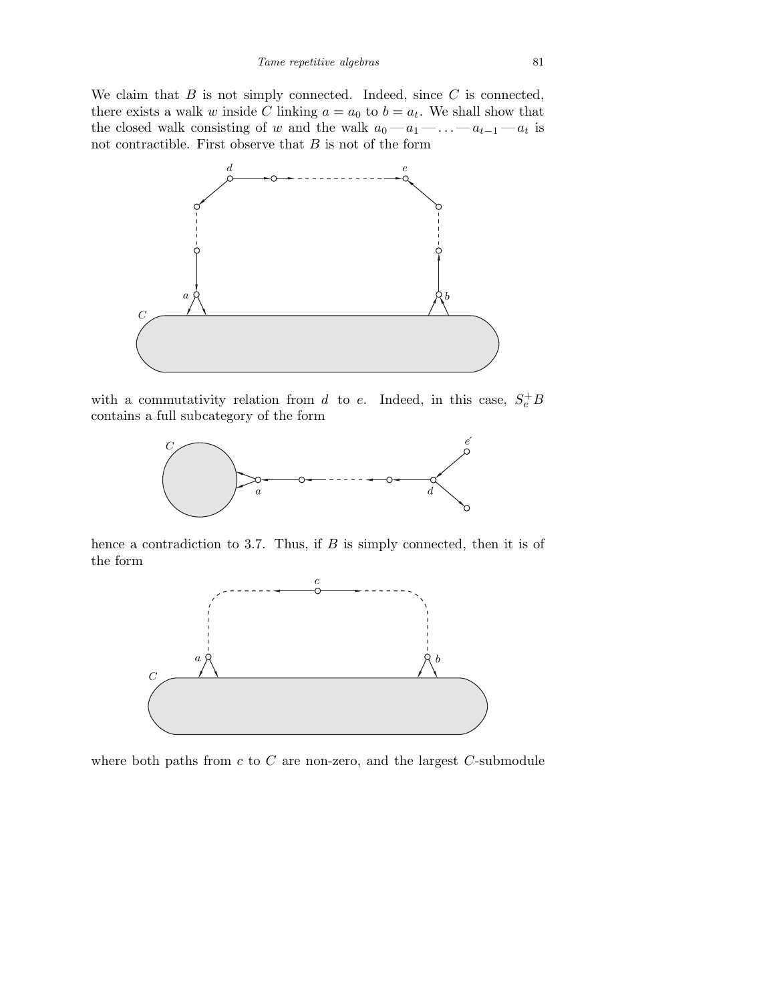We claim that  $B$  is not simply connected. Indeed, since  $C$  is connected, there exists a walk w inside C linking  $a = a_0$  to  $b = a_t$ . We shall show that the closed walk consisting of w and the walk  $a_0 - a_1 - \ldots - a_{t-1} - a_t$  is not contractible. First observe that  $B$  is not of the form



with a commutativity relation from d to e. Indeed, in this case,  $S_e^+ B$ contains a full subcategory of the form



hence a contradiction to 3.7. Thus, if  $B$  is simply connected, then it is of the form



where both paths from  $c$  to  $C$  are non-zero, and the largest  $C$ -submodule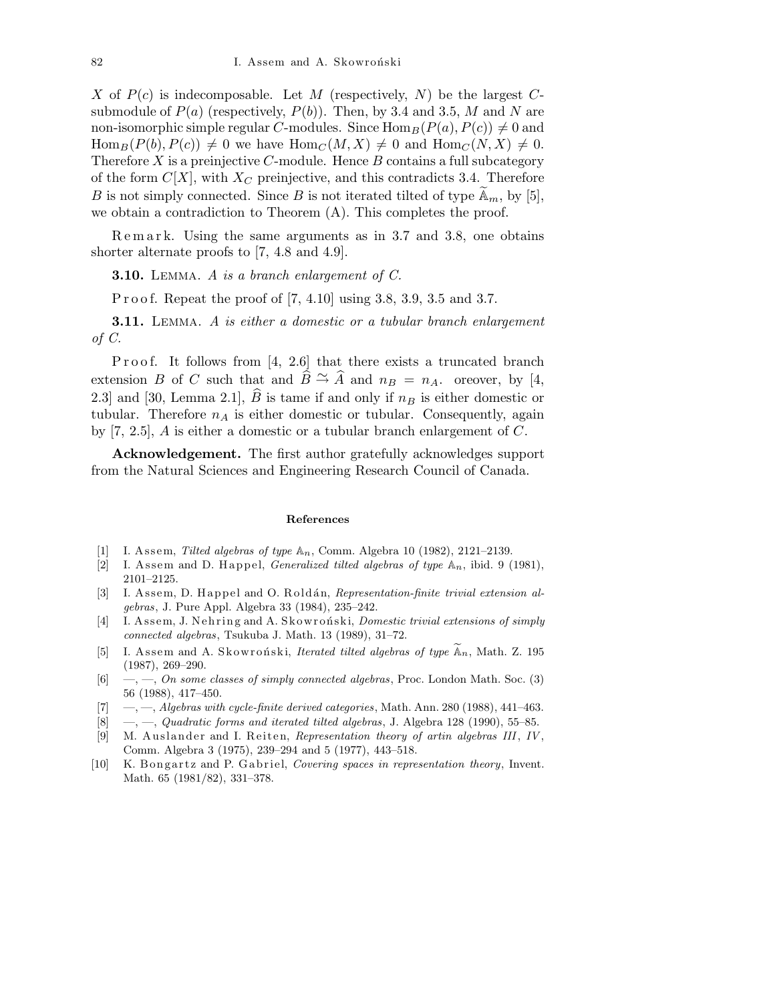X of  $P(c)$  is indecomposable. Let M (respectively, N) be the largest Csubmodule of  $P(a)$  (respectively,  $P(b)$ ). Then, by 3.4 and 3.5, M and N are non-isomorphic simple regular C-modules. Since  $\text{Hom}_B(P(a), P(c)) \neq 0$  and  $\text{Hom}_B(P(b), P(c)) \neq 0$  we have  $\text{Hom}_C(M, X) \neq 0$  and  $\text{Hom}_C(N, X) \neq 0$ . Therefore  $X$  is a preinjective  $C$ -module. Hence  $B$  contains a full subcategory of the form  $C[X]$ , with  $X_C$  preinjective, and this contradicts 3.4. Therefore B is not simply connected. Since B is not iterated tilted of type  $\mathbb{A}_m$ , by [5], we obtain a contradiction to Theorem (A). This completes the proof.

Remark. Using the same arguments as in 3.7 and 3.8, one obtains shorter alternate proofs to [7, 4.8 and 4.9].

**3.10.** LEMMA. A is a branch enlargement of  $C$ .

P r o o f. Repeat the proof of [7, 4.10] using 3.8, 3.9, 3.5 and 3.7.

**3.11.** LEMMA. A is either a domestic or a tubular branch enlargement of C.

Proof. It follows from  $[4, 2.6]$  that there exists a truncated branch extension B of C such that and  $\widehat{B} \cong \widehat{A}$  and  $n_B = n_A$ . oreover, by [4, 2.3] and [30, Lemma 2.1],  $\widehat{B}$  is tame if and only if  $n_B$  is either domestic or tubular. Therefore  $n_A$  is either domestic or tubular. Consequently, again by [7, 2.5], A is either a domestic or a tubular branch enlargement of C.

Acknowledgement. The first author gratefully acknowledges support from the Natural Sciences and Engineering Research Council of Canada.

#### **References**

- [1] I. A s s em, *Tilted algebras of type* A*n*, Comm. Algebra 10 (1982), 2121–2139.
- [2] I. Assem and D. Happel, *Generalized tilted algebras of type*  $\mathbb{A}_n$ , ibid. 9 (1981), 2101–2125.
- [3] I. Assem, D. Happel and O. Roldán, *Representation-finite trivial extension algebras*, J. Pure Appl. Algebra 33 (1984), 235–242.
- [4] I. Assem, J. Nehring and A. Skowronski, *Domestic trivial extensions of simply connected algebras*, Tsukuba J. Math. 13 (1989), 31–72.
- [5] I. Assem and A. Skowronski, *Iterated tilted algebras of type*  $\widetilde{A}_n$ , Math. Z. 195 (1987), 269–290.
- [6] —, —, *On some classes of simply connected algebras*, Proc. London Math. Soc. (3) 56 (1988), 417–450.
- [7] —, —, *Algebras with cycle-finite derived categories*, Math. Ann. 280 (1988), 441–463.
- [8] —, —, *Quadratic forms and iterated tilted algebras*, J. Algebra 128 (1990), 55–85.
- [9] M. Auslander and I. Reiten, *Representation theory of artin algebras III*, *IV*, Comm. Algebra 3 (1975), 239–294 and 5 (1977), 443–518.
- [10] K. Bongartz and P. Gabriel, *Covering spaces in representation theory*, Invent. Math. 65 (1981/82), 331–378.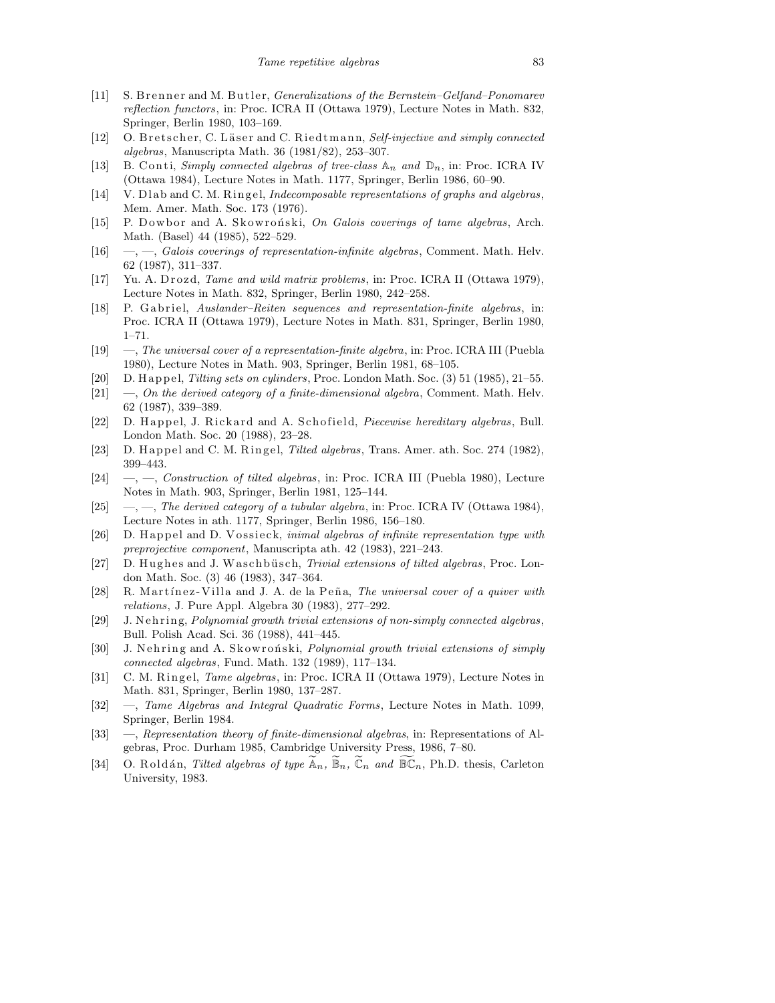- [11] S. Brenner and M. Butler, *Generalizations of the Bernstein–Gelfand–Ponomarev reflection functors*, in: Proc. ICRA II (Ottawa 1979), Lecture Notes in Math. 832, Springer, Berlin 1980, 103–169.
- [12] O. Bretscher, C. Läser and C. Riedtmann, *Self-injective and simply connected algebras*, Manuscripta Math. 36 (1981/82), 253–307.
- [13] B. Conti, *Simply connected algebras of tree-class*  $\mathbb{A}_n$  and  $\mathbb{D}_n$ , in: Proc. ICRA IV (Ottawa 1984), Lecture Notes in Math. 1177, Springer, Berlin 1986, 60–90.
- [14] V. Dlab and C. M. Ringel, *Indecomposable representations of graphs and algebras*, Mem. Amer. Math. Soc. 173 (1976).
- [15] P. Dowbor and A. Skowroński, *On Galois coverings of tame algebras*, Arch. Math. (Basel) 44 (1985), 522–529.
- [16] —, —, *Galois coverings of representation-infinite algebras*, Comment. Math. Helv. 62 (1987), 311–337.
- [17] Yu. A. Drozd, *Tame and wild matrix problems*, in: Proc. ICRA II (Ottawa 1979), Lecture Notes in Math. 832, Springer, Berlin 1980, 242–258.
- [18] P. Gabriel, *Auslander–Reiten sequences and representation-finite algebras*, in: Proc. ICRA II (Ottawa 1979), Lecture Notes in Math. 831, Springer, Berlin 1980, 1–71.
- [19] —, *The universal cover of a representation-finite algebra*, in: Proc. ICRA III (Puebla 1980), Lecture Notes in Math. 903, Springer, Berlin 1981, 68–105.
- [20] D. H a p p el, *Tilting sets on cylinders*, Proc. London Math. Soc. (3) 51 (1985), 21–55.
- [21] —, *On the derived category of a finite-dimensional algebra*, Comment. Math. Helv. 62 (1987), 339–389.
- [22] D. Happel, J. Rickard and A. Schofield, *Piecewise hereditary algebras*, Bull. London Math. Soc. 20 (1988), 23–28.
- [23] D. Happel and C. M. Ringel, *Tilted algebras*, Trans. Amer. ath. Soc. 274 (1982), 399–443.
- [24] —, —, *Construction of tilted algebras*, in: Proc. ICRA III (Puebla 1980), Lecture Notes in Math. 903, Springer, Berlin 1981, 125–144.
- [25] —, —, *The derived category of a tubular algebra*, in: Proc. ICRA IV (Ottawa 1984), Lecture Notes in ath. 1177, Springer, Berlin 1986, 156–180.
- [26] D. Happel and D. Vossieck, *inimal algebras of infinite representation type with preprojective component*, Manuscripta ath. 42 (1983), 221–243.
- [27] D. Hughes and J. Waschbüsch, *Trivial extensions of tilted algebras*, Proc. London Math. Soc. (3) 46 (1983), 347–364.
- [28] R. Martínez-Villa and J. A. de la Peña, *The universal cover of a quiver with relations*, J. Pure Appl. Algebra 30 (1983), 277–292.
- [29] J. N ehring, *Polynomial growth trivial extensions of non-simply connected algebras*, Bull. Polish Acad. Sci. 36 (1988), 441–445.
- [30] J. Nehring and A. Skowronski, *Polynomial growth trivial extensions of simply connected algebras*, Fund. Math. 132 (1989), 117–134.
- [31] C. M. Ringel, *Tame algebras*, in: Proc. ICRA II (Ottawa 1979), Lecture Notes in Math. 831, Springer, Berlin 1980, 137–287.
- [32] —, *Tame Algebras and Integral Quadratic Forms*, Lecture Notes in Math. 1099, Springer, Berlin 1984.
- [33] —, *Representation theory of finite-dimensional algebras*, in: Representations of Algebras, Proc. Durham 1985, Cambridge University Press, 1986, 7–80.
- [34] O. Roldán, *Tilted algebras of type*  $\mathbb{A}_n$ ,  $\mathbb{B}_n$ ,  $\mathbb{C}_n$  *and*  $\mathbb{B}\mathbb{C}_n$ , Ph.D. thesis, Carleton University, 1983.